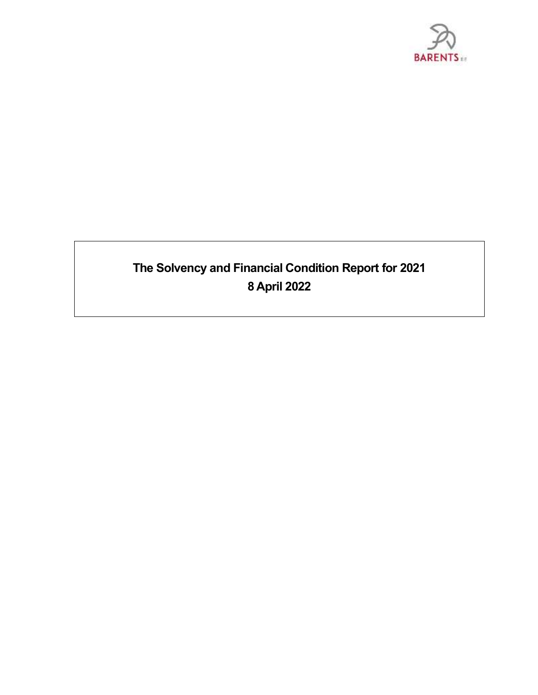

# **The Solvency and Financial Condition Report for 2021 8 April 2022**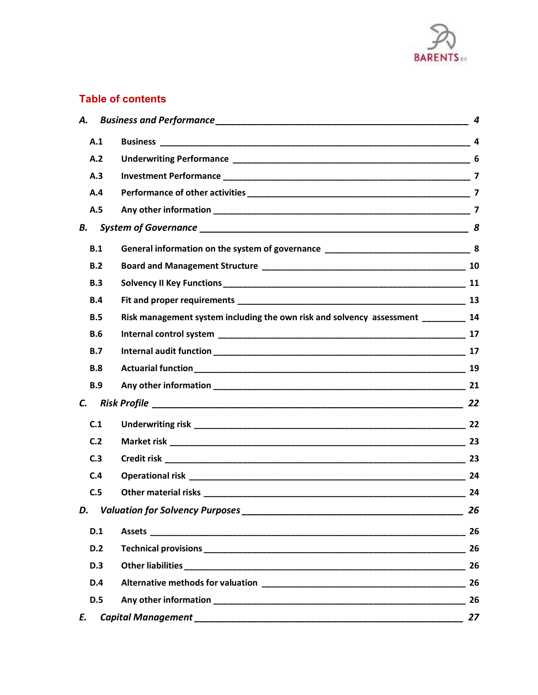

# **Table of contents**

| А.         |                                                                          | 4  |
|------------|--------------------------------------------------------------------------|----|
| A.1        |                                                                          |    |
| A.2        |                                                                          |    |
| A.3        |                                                                          |    |
| A.4        |                                                                          |    |
| A.5        |                                                                          |    |
| В.         |                                                                          |    |
| B.1        |                                                                          |    |
| B.2        |                                                                          |    |
| B.3        |                                                                          |    |
| <b>B.4</b> |                                                                          |    |
| B.5        | Risk management system including the own risk and solvency assessment 14 |    |
| <b>B.6</b> |                                                                          |    |
| B.7        |                                                                          |    |
| <b>B.8</b> |                                                                          |    |
| <b>B.9</b> |                                                                          |    |
| C.         |                                                                          |    |
| C.1        |                                                                          |    |
| C.2        |                                                                          |    |
| C.3        |                                                                          |    |
| C.4        |                                                                          |    |
| C.5        |                                                                          | 24 |
| D.         |                                                                          | 26 |
| D.1        |                                                                          | 26 |
| D.2        |                                                                          |    |
| <b>D.3</b> |                                                                          |    |
| <b>D.4</b> |                                                                          | 26 |
| <b>D.5</b> |                                                                          | 26 |
| E.         |                                                                          | 27 |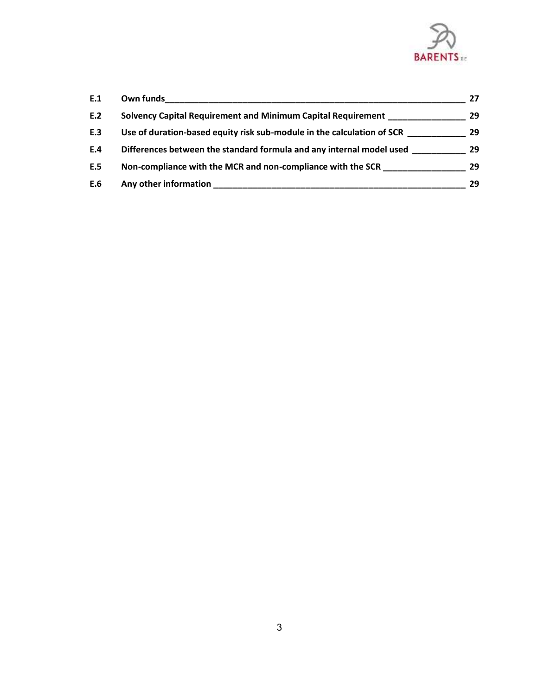

| E.1 | Own funds                                                              | 27 |
|-----|------------------------------------------------------------------------|----|
| E.2 | Solvency Capital Requirement and Minimum Capital Requirement           | 29 |
| E.3 | Use of duration-based equity risk sub-module in the calculation of SCR | 29 |
| E.4 | Differences between the standard formula and any internal model used   | 29 |
| E.5 | Non-compliance with the MCR and non-compliance with the SCR            | 29 |
| E.6 | Any other information                                                  | 29 |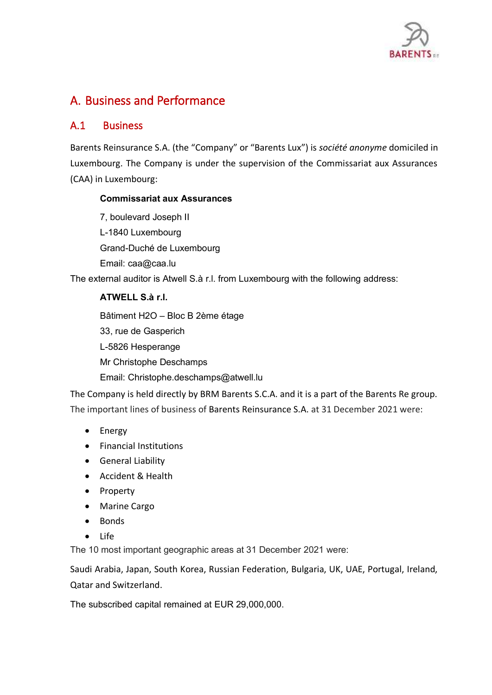

# <span id="page-3-1"></span><span id="page-3-0"></span>A. Business and Performance

# A.1 Business

Barents Reinsurance S.A. (the "Company" or "Barents Lux") is *société anonyme* domiciled in Luxembourg. The Company is under the supervision of the Commissariat aux Assurances (CAA) in Luxembourg:

## **Commissariat aux Assurances**

7, boulevard Joseph II L-1840 Luxembourg Grand-Duché de Luxembourg Email: [caa@caa.lu](mailto:caa@caa.lu)

The external auditor is Atwell S.à r.l. from Luxembourg with the following address:

# **ATWELL S.à r.l.**

Bâtiment H2O – Bloc B 2ème étage 33, rue de Gasperich L-5826 Hesperange Mr Christophe Deschamps Email: Christophe.deschamps@atwell.lu

The Company is held directly by BRM Barents S.C.A. and it is a part of the Barents Re group. The important lines of business of Barents Reinsurance S.A. at 31 December 2021 were:

- Energy
- Financial Institutions
- General Liability
- Accident & Health
- Property
- Marine Cargo
- Bonds
- Life

The 10 most important geographic areas at 31 December 2021 were:

Saudi Arabia, Japan, South Korea, Russian Federation, Bulgaria, UK, UAE, Portugal, Ireland, Qatar and Switzerland.

The subscribed capital remained at EUR 29,000,000.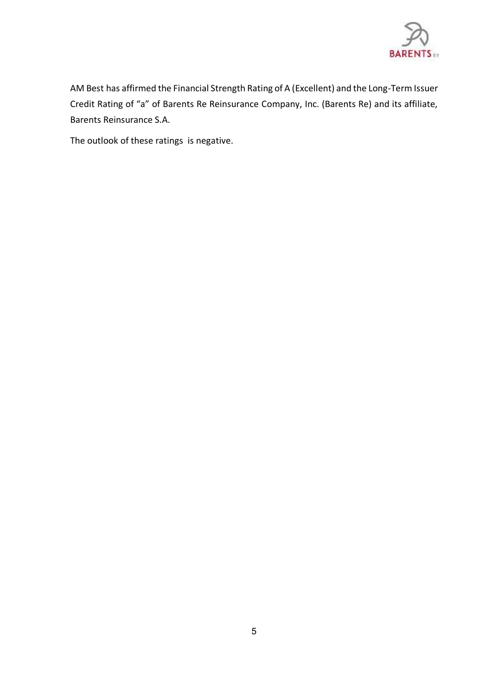

AM Best has affirmed the Financial Strength Rating of A (Excellent) and the Long-Term Issuer Credit Rating of "a" of Barents Re Reinsurance Company, Inc. (Barents Re) and its affiliate, Barents Reinsurance S.A.

The outlook of these ratings is negative.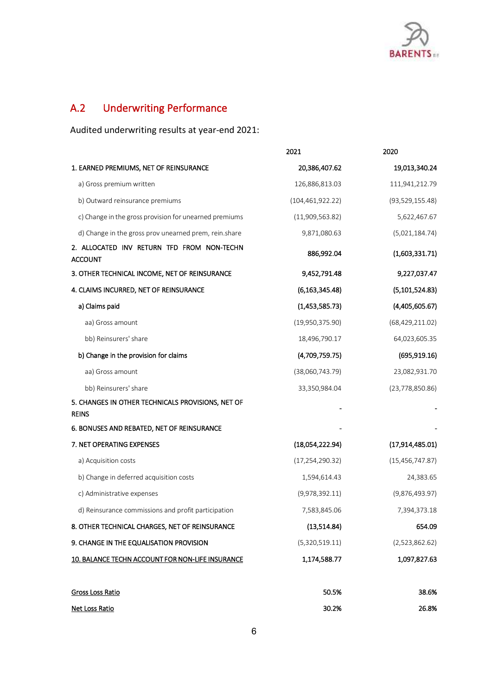

# <span id="page-5-0"></span>A.2 Underwriting Performance

Audited underwriting results at year-end 2021:

|                                                                   | 2021               | 2020              |
|-------------------------------------------------------------------|--------------------|-------------------|
| 1. EARNED PREMIUMS, NET OF REINSURANCE                            | 20,386,407.62      | 19,013,340.24     |
| a) Gross premium written                                          | 126,886,813.03     | 111,941,212.79    |
| b) Outward reinsurance premiums                                   | (104, 461, 922.22) | (93, 529, 155.48) |
| c) Change in the gross provision for unearned premiums            | (11,909,563.82)    | 5,622,467.67      |
| d) Change in the gross prov unearned prem, rein.share             | 9,871,080.63       | (5,021,184.74)    |
| 2. ALLOCATED INV RETURN TFD FROM NON-TECHN<br><b>ACCOUNT</b>      | 886,992.04         | (1,603,331.71)    |
| 3. OTHER TECHNICAL INCOME, NET OF REINSURANCE                     | 9,452,791.48       | 9,227,037.47      |
| 4. CLAIMS INCURRED, NET OF REINSURANCE                            | (6, 163, 345.48)   | (5, 101, 524.83)  |
| a) Claims paid                                                    | (1,453,585.73)     | (4,405,605.67)    |
| aa) Gross amount                                                  | (19,950,375.90)    | (68, 429, 211.02) |
| bb) Reinsurers' share                                             | 18,496,790.17      | 64,023,605.35     |
| b) Change in the provision for claims                             | (4,709,759.75)     | (695, 919.16)     |
| aa) Gross amount                                                  | (38,060,743.79)    | 23,082,931.70     |
| bb) Reinsurers' share                                             | 33,350,984.04      | (23,778,850.86)   |
| 5. CHANGES IN OTHER TECHNICALS PROVISIONS, NET OF<br><b>REINS</b> |                    |                   |
| 6. BONUSES AND REBATED, NET OF REINSURANCE                        |                    |                   |
| 7. NET OPERATING EXPENSES                                         | (18,054,222.94)    | (17,914,485.01)   |
| a) Acquisition costs                                              | (17, 254, 290.32)  | (15, 456, 747.87) |
| b) Change in deferred acquisition costs                           | 1,594,614.43       | 24,383.65         |
| c) Administrative expenses                                        | (9,978,392.11)     | (9,876,493.97)    |
| d) Reinsurance commissions and profit participation               | 7,583,845.06       | 7,394,373.18      |
| 8. OTHER TECHNICAL CHARGES, NET OF REINSURANCE                    | (13,514.84)        | 654.09            |
| 9. CHANGE IN THE EQUALISATION PROVISION                           | (5,320,519.11)     | (2,523,862.62)    |
| 10. BALANCE TECHN ACCOUNT FOR NON-LIFE INSURANCE                  | 1,174,588.77       | 1,097,827.63      |
|                                                                   |                    |                   |

| Gross Loss Ratio | 50.5% | 38.6% |
|------------------|-------|-------|
| Net Loss Ratio   | 30.2% | 26.8% |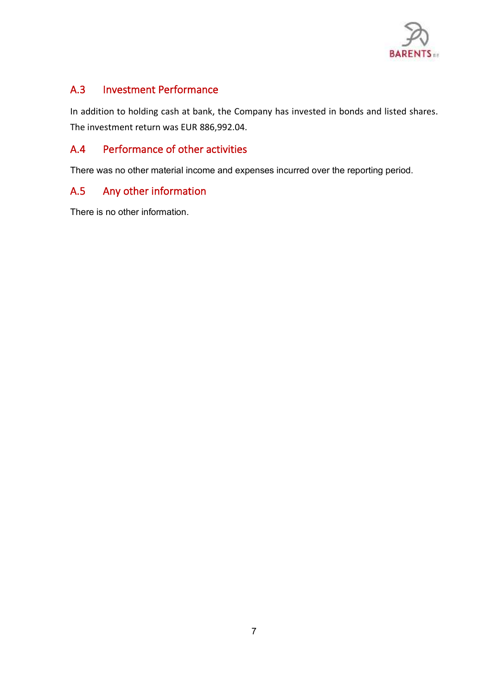

# <span id="page-6-0"></span>A.3 Investment Performance

<span id="page-6-1"></span>In addition to holding cash at bank, the Company has invested in bonds and listed shares. The investment return was EUR 886,992.04.

# <span id="page-6-2"></span>A.4 Performance of other activities

There was no other material income and expenses incurred over the reporting period.

# A.5 Any other information

There is no other information.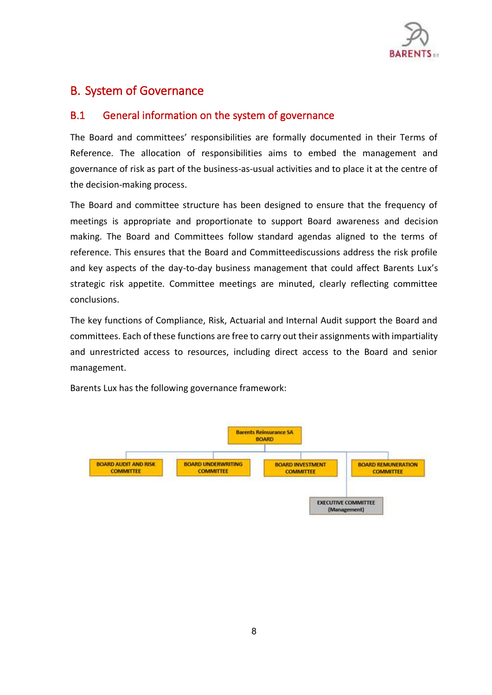

# <span id="page-7-1"></span><span id="page-7-0"></span>B. System of Governance

# B.1 General information on the system of governance

The Board and committees' responsibilities are formally documented in their Terms of Reference. The allocation of responsibilities aims to embed the management and governance of risk as part of the business-as-usual activities and to place it at the centre of the decision-making process.

The Board and committee structure has been designed to ensure that the frequency of meetings is appropriate and proportionate to support Board awareness and decision making. The Board and Committees follow standard agendas aligned to the terms of reference. This ensures that the Board and Committeediscussions address the risk profile and key aspects of the day-to-day business management that could affect Barents Lux's strategic risk appetite. Committee meetings are minuted, clearly reflecting committee conclusions.

The key functions of Compliance, Risk, Actuarial and Internal Audit support the Board and committees. Each of these functions are free to carry out their assignments with impartiality and unrestricted access to resources, including direct access to the Board and senior management.

Barents Lux has the following governance framework:

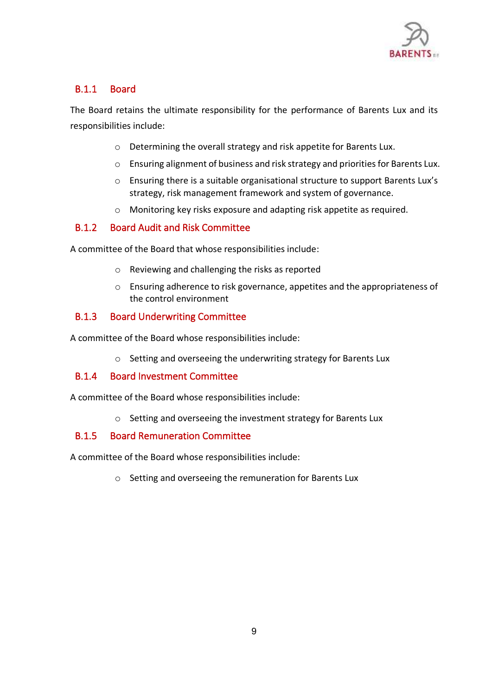

# B.1.1 Board

The Board retains the ultimate responsibility for the performance of Barents Lux and its responsibilities include:

- o Determining the overall strategy and risk appetite for Barents Lux.
- o Ensuring alignment of business and risk strategy and priorities for Barents Lux.
- o Ensuring there is a suitable organisational structure to support Barents Lux's strategy, risk management framework and system of governance.
- o Monitoring key risks exposure and adapting risk appetite as required.

## B.1.2 Board Audit and Risk Committee

A committee of the Board that whose responsibilities include:

- o Reviewing and challenging the risks as reported
- o Ensuring adherence to risk governance, appetites and the appropriateness of the control environment

## B.1.3 Board Underwriting Committee

A committee of the Board whose responsibilities include:

o Setting and overseeing the underwriting strategy for Barents Lux

### B.1.4 Board Investment Committee

A committee of the Board whose responsibilities include:

o Setting and overseeing the investment strategy for Barents Lux

### B.1.5 Board Remuneration Committee

A committee of the Board whose responsibilities include:

o Setting and overseeing the remuneration for Barents Lux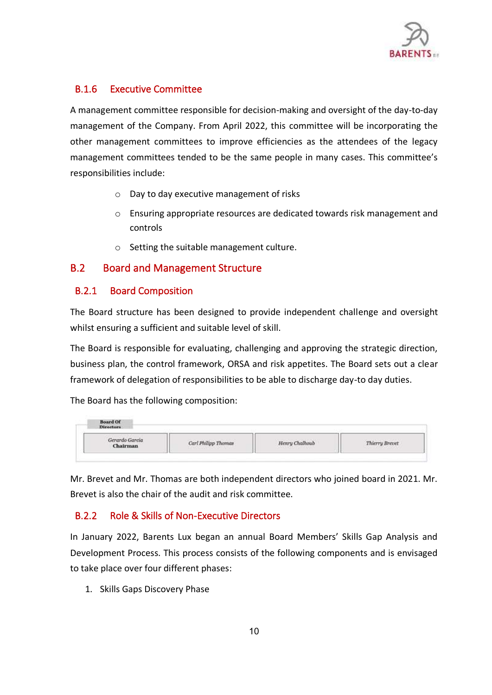

## B.1.6 Executive Committee

A management committee responsible for decision-making and oversight of the day-to-day management of the Company. From April 2022, this committee will be incorporating the other management committees to improve efficiencies as the attendees of the legacy management committees tended to be the same people in many cases. This committee's responsibilities include:

- o Day to day executive management of risks
- o Ensuring appropriate resources are dedicated towards risk management and controls
- o Setting the suitable management culture.

# <span id="page-9-0"></span>B.2 Board and Management Structure

## B.2.1 Board Composition

The Board structure has been designed to provide independent challenge and oversight whilst ensuring a sufficient and suitable level of skill.

The Board is responsible for evaluating, challenging and approving the strategic direction, business plan, the control framework, ORSA and risk appetites. The Board sets out a clear framework of delegation of responsibilities to be able to discharge day-to day duties.

The Board has the following composition:

| <b>Directors</b>           |                                                                                                                               |                                         |                                                                                                     |
|----------------------------|-------------------------------------------------------------------------------------------------------------------------------|-----------------------------------------|-----------------------------------------------------------------------------------------------------|
| Gerardo Garcia<br>Chairman | the control of the state of the control of the<br>Carl Philipp Thomas<br>the first state of the control of the control of the | Henry Chalhoub<br>The New York of China | the control of the control of the con-<br>Thierry Brevet<br>and the contract of the contract of the |

Mr. Brevet and Mr. Thomas are both independent directors who joined board in 2021. Mr. Brevet is also the chair of the audit and risk committee.

# B.2.2 Role & Skills of Non-Executive Directors

In January 2022, Barents Lux began an annual Board Members' Skills Gap Analysis and Development Process. This process consists of the following components and is envisaged to take place over four different phases:

1. Skills Gaps Discovery Phase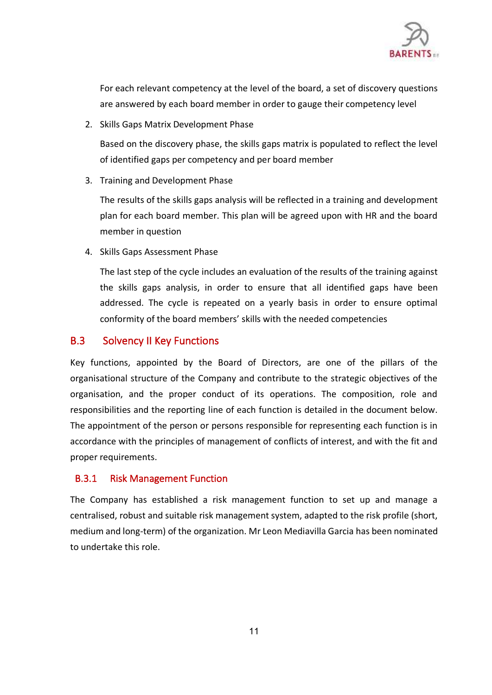

For each relevant competency at the level of the board, a set of discovery questions are answered by each board member in order to gauge their competency level

2. Skills Gaps Matrix Development Phase

Based on the discovery phase, the skills gaps matrix is populated to reflect the level of identified gaps per competency and per board member

3. Training and Development Phase

The results of the skills gaps analysis will be reflected in a training and development plan for each board member. This plan will be agreed upon with HR and the board member in question

4. Skills Gaps Assessment Phase

<span id="page-10-0"></span>The last step of the cycle includes an evaluation of the results of the training against the skills gaps analysis, in order to ensure that all identified gaps have been addressed. The cycle is repeated on a yearly basis in order to ensure optimal conformity of the board members' skills with the needed competencies

# B.3 Solvency II Key Functions

Key functions, appointed by the Board of Directors, are one of the pillars of the organisational structure of the Company and contribute to the strategic objectives of the organisation, and the proper conduct of its operations. The composition, role and responsibilities and the reporting line of each function is detailed in the document below. The appointment of the person or persons responsible for representing each function is in accordance with the principles of management of conflicts of interest, and with the fit and proper requirements.

# B.3.1 Risk Management Function

The Company has established a risk management function to set up and manage a centralised, robust and suitable risk management system, adapted to the risk profile (short, medium and long-term) of the organization. Mr Leon Mediavilla Garcia has been nominated to undertake this role.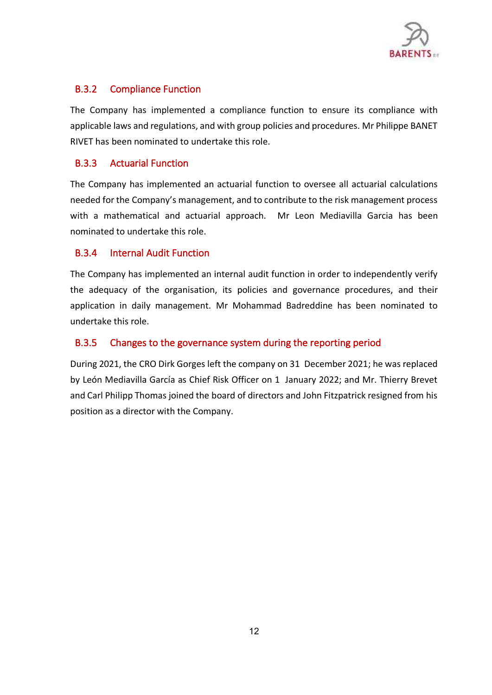

## B.3.2 Compliance Function

The Company has implemented a compliance function to ensure its compliance with applicable laws and regulations, and with group policies and procedures. Mr Philippe BANET RIVET has been nominated to undertake this role.

### B.3.3 Actuarial Function

The Company has implemented an actuarial function to oversee all actuarial calculations needed for the Company's management, and to contribute to the risk management process with a mathematical and actuarial approach. Mr Leon Mediavilla Garcia has been nominated to undertake this role.

## B.3.4 Internal Audit Function

The Company has implemented an internal audit function in order to independently verify the adequacy of the organisation, its policies and governance procedures, and their application in daily management. Mr Mohammad Badreddine has been nominated to undertake this role.

## B.3.5 Changes to the governance system during the reporting period

During 2021, the CRO Dirk Gorges left the company on 31 December 2021; he was replaced by León Mediavilla García as Chief Risk Officer on 1 January 2022; and Mr. Thierry Brevet and Carl Philipp Thomas joined the board of directors and John Fitzpatrick resigned from his position as a director with the Company.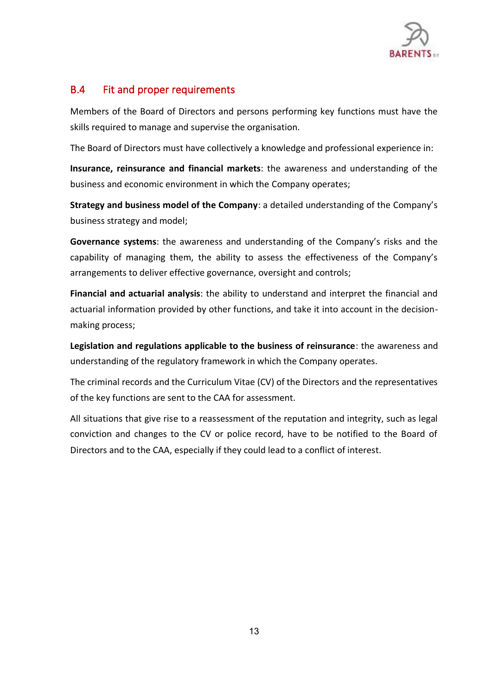

# <span id="page-12-0"></span>B.4 Fit and proper requirements

Members of the Board of Directors and persons performing key functions must have the skills required to manage and supervise the organisation.

The Board of Directors must have collectively a knowledge and professional experience in:

**Insurance, reinsurance and financial markets**: the awareness and understanding of the business and economic environment in which the Company operates;

**Strategy and business model of the Company**: a detailed understanding of the Company's business strategy and model;

**Governance systems**: the awareness and understanding of the Company's risks and the capability of managing them, the ability to assess the effectiveness of the Company's arrangements to deliver effective governance, oversight and controls;

**Financial and actuarial analysis**: the ability to understand and interpret the financial and actuarial information provided by other functions, and take it into account in the decisionmaking process;

**Legislation and regulations applicable to the business of reinsurance**: the awareness and understanding of the regulatory framework in which the Company operates.

The criminal records and the Curriculum Vitae (CV) of the Directors and the representatives of the key functions are sent to the CAA for assessment.

All situations that give rise to a reassessment of the reputation and integrity, such as legal conviction and changes to the CV or police record, have to be notified to the Board of Directors and to the CAA, especially if they could lead to a conflict of interest.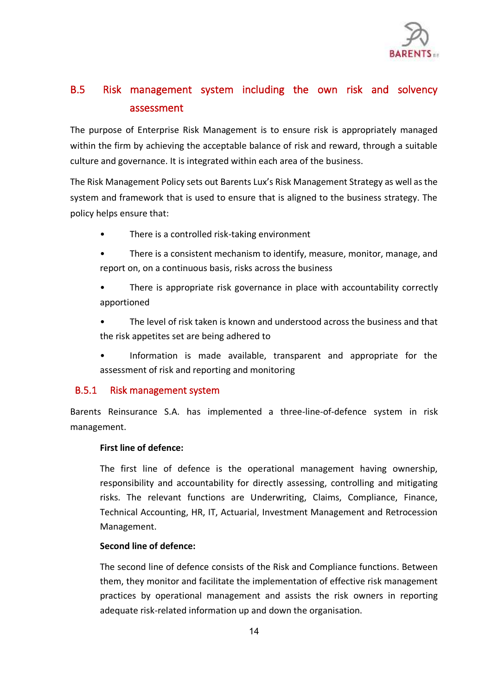

# <span id="page-13-0"></span>B.5 Risk management system including the own risk and solvency assessment

The purpose of Enterprise Risk Management is to ensure risk is appropriately managed within the firm by achieving the acceptable balance of risk and reward, through a suitable culture and governance. It is integrated within each area of the business.

The Risk Management Policy sets out Barents Lux's Risk Management Strategy as well as the system and framework that is used to ensure that is aligned to the business strategy. The policy helps ensure that:

- There is a controlled risk-taking environment
- There is a consistent mechanism to identify, measure, monitor, manage, and report on, on a continuous basis, risks across the business
- There is appropriate risk governance in place with accountability correctly apportioned
- The level of risk taken is known and understood across the business and that the risk appetites set are being adhered to
- Information is made available, transparent and appropriate for the assessment of risk and reporting and monitoring

# B.5.1 Risk management system

Barents Reinsurance S.A. has implemented a three-line-of-defence system in risk management.

### **First line of defence:**

The first line of defence is the operational management having ownership, responsibility and accountability for directly assessing, controlling and mitigating risks. The relevant functions are Underwriting, Claims, Compliance, Finance, Technical Accounting, HR, IT, Actuarial, Investment Management and Retrocession Management.

### **Second line of defence:**

The second line of defence consists of the Risk and Compliance functions. Between them, they monitor and facilitate the implementation of effective risk management practices by operational management and assists the risk owners in reporting adequate risk-related information up and down the organisation.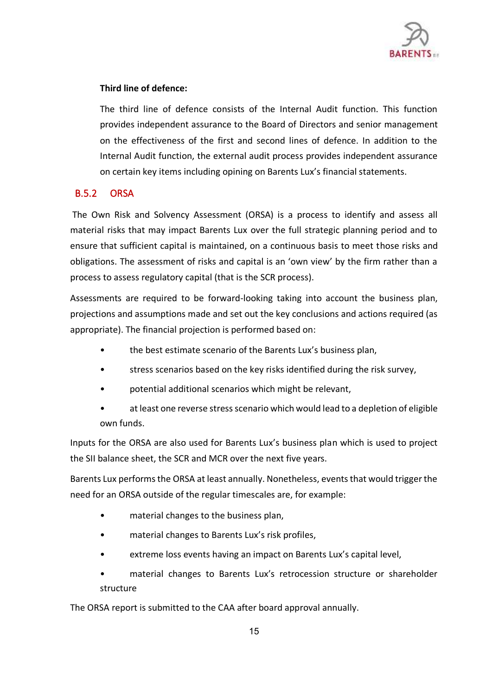

### **Third line of defence:**

The third line of defence consists of the Internal Audit function. This function provides independent assurance to the Board of Directors and senior management on the effectiveness of the first and second lines of defence. In addition to the Internal Audit function, the external audit process provides independent assurance on certain key items including opining on Barents Lux's financial statements.

## B.5.2 ORSA

The Own Risk and Solvency Assessment (ORSA) is a process to identify and assess all material risks that may impact Barents Lux over the full strategic planning period and to ensure that sufficient capital is maintained, on a continuous basis to meet those risks and obligations. The assessment of risks and capital is an 'own view' by the firm rather than a process to assess regulatory capital (that is the SCR process).

Assessments are required to be forward-looking taking into account the business plan, projections and assumptions made and set out the key conclusions and actions required (as appropriate). The financial projection is performed based on:

- the best estimate scenario of the Barents Lux's business plan,
- stress scenarios based on the key risks identified during the risk survey,
- potential additional scenarios which might be relevant,
- at least one reverse stress scenario which would lead to a depletion of eligible own funds.

Inputs for the ORSA are also used for Barents Lux's business plan which is used to project the SII balance sheet, the SCR and MCR over the next five years.

Barents Lux performs the ORSA at least annually. Nonetheless, events that would trigger the need for an ORSA outside of the regular timescales are, for example:

- material changes to the business plan,
- material changes to Barents Lux's risk profiles,
- extreme loss events having an impact on Barents Lux's capital level,
- material changes to Barents Lux's retrocession structure or shareholder structure

The ORSA report is submitted to the CAA after board approval annually.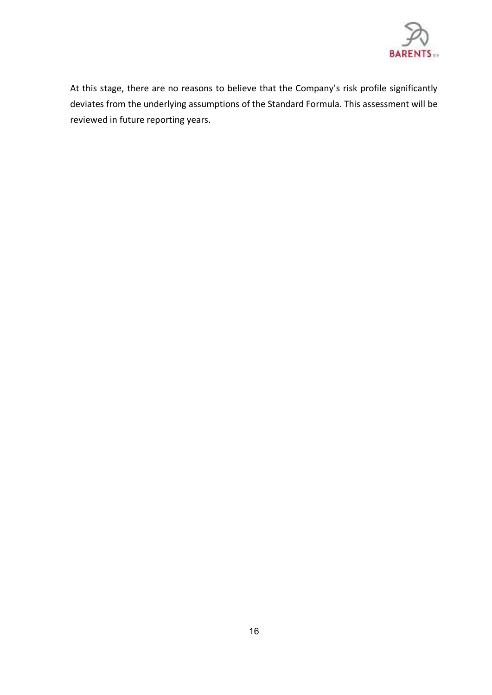

At this stage, there are no reasons to believe that the Company's risk profile significantly deviates from the underlying assumptions of the Standard Formula. This assessment will be reviewed in future reporting years.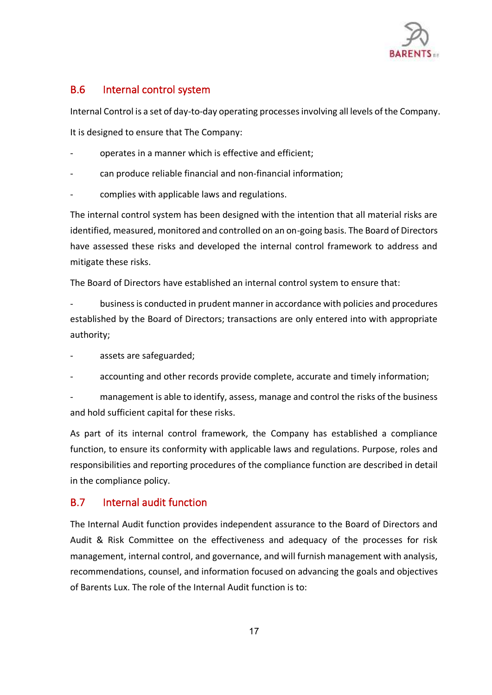

# <span id="page-16-0"></span>B.6 Internal control system

Internal Control is a set of day-to-day operating processes involving all levels of the Company.

It is designed to ensure that The Company:

- operates in a manner which is effective and efficient:
- can produce reliable financial and non-financial information;
- complies with applicable laws and regulations.

The internal control system has been designed with the intention that all material risks are identified, measured, monitored and controlled on an on-going basis. The Board of Directors have assessed these risks and developed the internal control framework to address and mitigate these risks.

The Board of Directors have established an internal control system to ensure that:

- business is conducted in prudent manner in accordance with policies and procedures established by the Board of Directors; transactions are only entered into with appropriate authority;

- assets are safeguarded;
- accounting and other records provide complete, accurate and timely information;

management is able to identify, assess, manage and control the risks of the business and hold sufficient capital for these risks.

<span id="page-16-1"></span>As part of its internal control framework, the Company has established a compliance function, to ensure its conformity with applicable laws and regulations. Purpose, roles and responsibilities and reporting procedures of the compliance function are described in detail in the compliance policy.

# B.7 Internal audit function

The Internal Audit function provides independent assurance to the Board of Directors and Audit & Risk Committee on the effectiveness and adequacy of the processes for risk management, internal control, and governance, and will furnish management with analysis, recommendations, counsel, and information focused on advancing the goals and objectives of Barents Lux. The role of the Internal Audit function is to: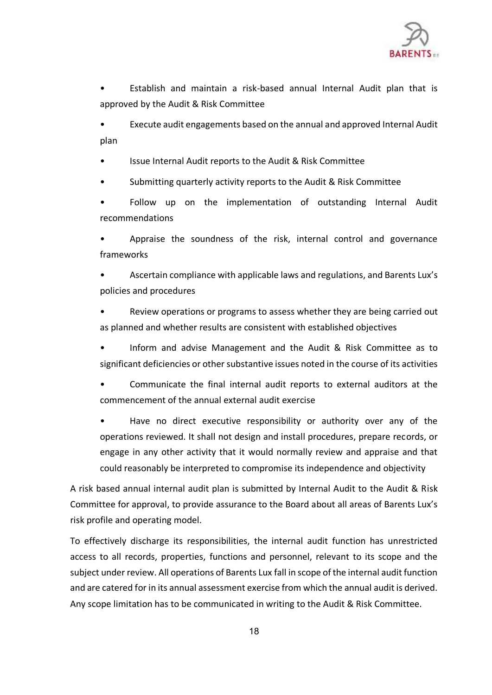

• Establish and maintain a risk-based annual Internal Audit plan that is approved by the Audit & Risk Committee

• Execute audit engagements based on the annual and approved Internal Audit plan

• Issue Internal Audit reports to the Audit & Risk Committee

• Submitting quarterly activity reports to the Audit & Risk Committee

Follow up on the implementation of outstanding Internal Audit recommendations

Appraise the soundness of the risk, internal control and governance frameworks

• Ascertain compliance with applicable laws and regulations, and Barents Lux's policies and procedures

• Review operations or programs to assess whether they are being carried out as planned and whether results are consistent with established objectives

• Inform and advise Management and the Audit & Risk Committee as to significant deficiencies or other substantive issues noted in the course of its activities

• Communicate the final internal audit reports to external auditors at the commencement of the annual external audit exercise

• Have no direct executive responsibility or authority over any of the operations reviewed. It shall not design and install procedures, prepare records, or engage in any other activity that it would normally review and appraise and that could reasonably be interpreted to compromise its independence and objectivity

A risk based annual internal audit plan is submitted by Internal Audit to the Audit & Risk Committee for approval, to provide assurance to the Board about all areas of Barents Lux's risk profile and operating model.

To effectively discharge its responsibilities, the internal audit function has unrestricted access to all records, properties, functions and personnel, relevant to its scope and the subject under review. All operations of Barents Lux fall in scope of the internal audit function and are catered for in its annual assessment exercise from which the annual audit is derived. Any scope limitation has to be communicated in writing to the Audit & Risk Committee.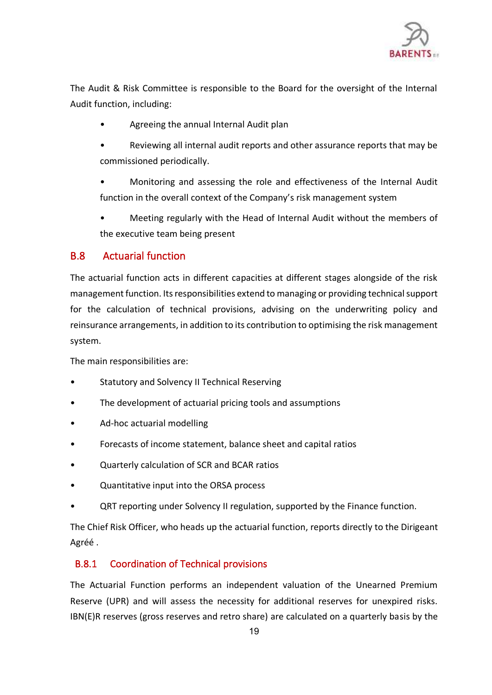

The Audit & Risk Committee is responsible to the Board for the oversight of the Internal Audit function, including:

- Agreeing the annual Internal Audit plan
- Reviewing all internal audit reports and other assurance reports that may be commissioned periodically.
- Monitoring and assessing the role and effectiveness of the Internal Audit function in the overall context of the Company's risk management system
- <span id="page-18-0"></span>• Meeting regularly with the Head of Internal Audit without the members of the executive team being present

# B.8 Actuarial function

The actuarial function acts in different capacities at different stages alongside of the risk management function. Its responsibilities extend to managing or providing technical support for the calculation of technical provisions, advising on the underwriting policy and reinsurance arrangements, in addition to its contribution to optimising the risk management system.

The main responsibilities are:

- Statutory and Solvency II Technical Reserving
- The development of actuarial pricing tools and assumptions
- Ad-hoc actuarial modelling
- Forecasts of income statement, balance sheet and capital ratios
- Quarterly calculation of SCR and BCAR ratios
- Quantitative input into the ORSA process
- QRT reporting under Solvency II regulation, supported by the Finance function.

The Chief Risk Officer, who heads up the actuarial function, reports directly to the Dirigeant Agréé .

# B.8.1 Coordination of Technical provisions

The Actuarial Function performs an independent valuation of the Unearned Premium Reserve (UPR) and will assess the necessity for additional reserves for unexpired risks. IBN(E)R reserves (gross reserves and retro share) are calculated on a quarterly basis by the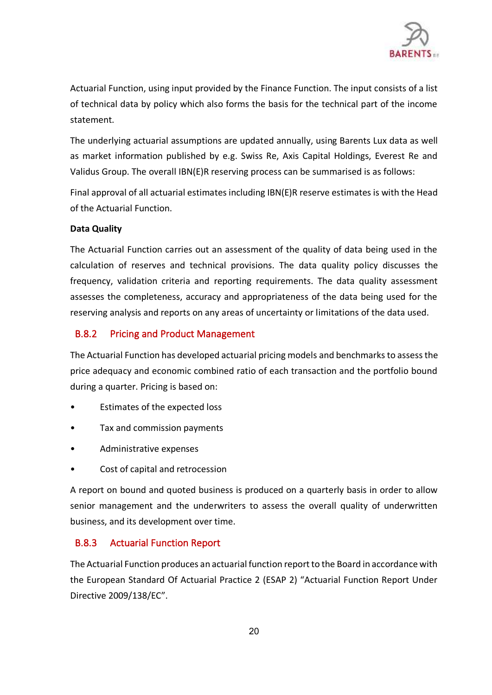

Actuarial Function, using input provided by the Finance Function. The input consists of a list of technical data by policy which also forms the basis for the technical part of the income statement.

The underlying actuarial assumptions are updated annually, using Barents Lux data as well as market information published by e.g. Swiss Re, Axis Capital Holdings, Everest Re and Validus Group. The overall IBN(E)R reserving process can be summarised is as follows:

Final approval of all actuarial estimates including IBN(E)R reserve estimates is with the Head of the Actuarial Function.

### **Data Quality**

The Actuarial Function carries out an assessment of the quality of data being used in the calculation of reserves and technical provisions. The data quality policy discusses the frequency, validation criteria and reporting requirements. The data quality assessment assesses the completeness, accuracy and appropriateness of the data being used for the reserving analysis and reports on any areas of uncertainty or limitations of the data used.

## B.8.2 Pricing and Product Management

The Actuarial Function has developed actuarial pricing models and benchmarksto assess the price adequacy and economic combined ratio of each transaction and the portfolio bound during a quarter. Pricing is based on:

- Estimates of the expected loss
- Tax and commission payments
- Administrative expenses
- Cost of capital and retrocession

A report on bound and quoted business is produced on a quarterly basis in order to allow senior management and the underwriters to assess the overall quality of underwritten business, and its development over time.

### B.8.3 Actuarial Function Report

The Actuarial Function produces an actuarial function report to the Board in accordance with the European Standard Of Actuarial Practice 2 (ESAP 2) "Actuarial Function Report Under Directive 2009/138/EC".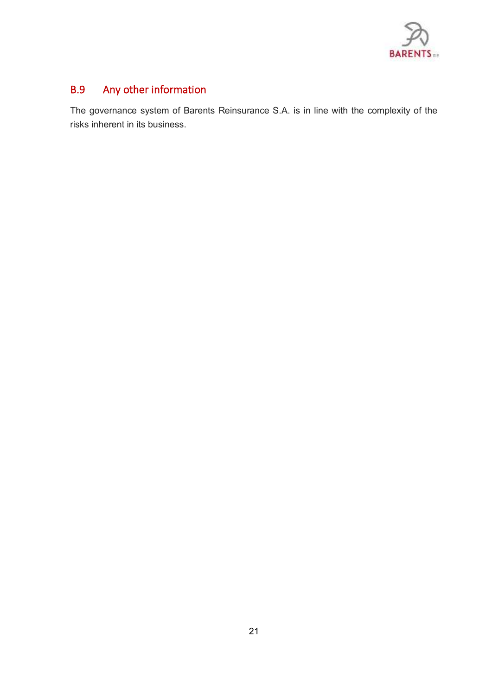

# <span id="page-20-0"></span>B.9 Any other information

The governance system of Barents Reinsurance S.A. is in line with the complexity of the risks inherent in its business.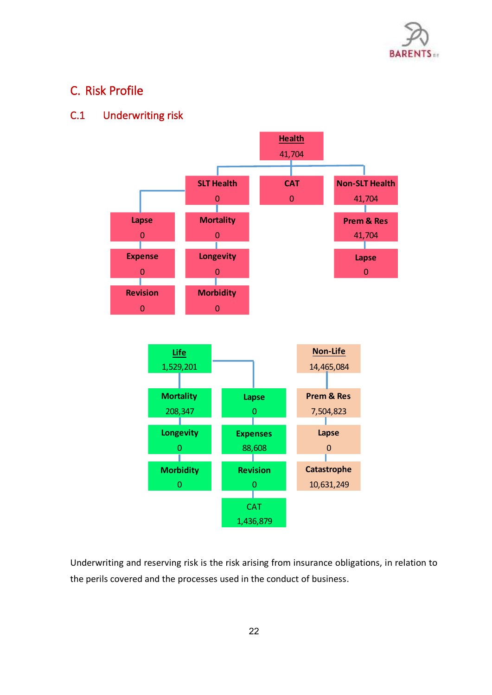

# <span id="page-21-1"></span><span id="page-21-0"></span>C. Risk Profile

# C.1 Underwriting risk



Underwriting and reserving risk is the risk arising from insurance obligations, in relation to the perils covered and the processes used in the conduct of business.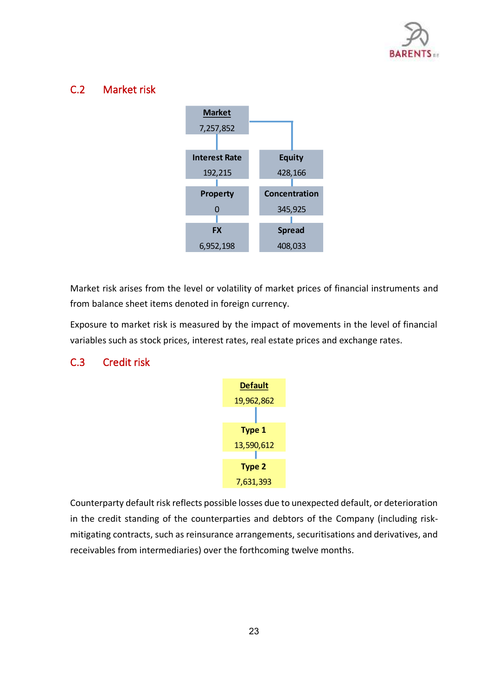

# <span id="page-22-0"></span>C.2 Market risk



Market risk arises from the level or volatility of market prices of financial instruments and from balance sheet items denoted in foreign currency.

<span id="page-22-1"></span>Exposure to market risk is measured by the impact of movements in the level of financial variables such as stock prices, interest rates, real estate prices and exchange rates.

# C.3 Credit risk



Counterparty default risk reflects possible losses due to unexpected default, or deterioration in the credit standing of the counterparties and debtors of the Company (including riskmitigating contracts, such as reinsurance arrangements, securitisations and derivatives, and receivables from intermediaries) over the forthcoming twelve months.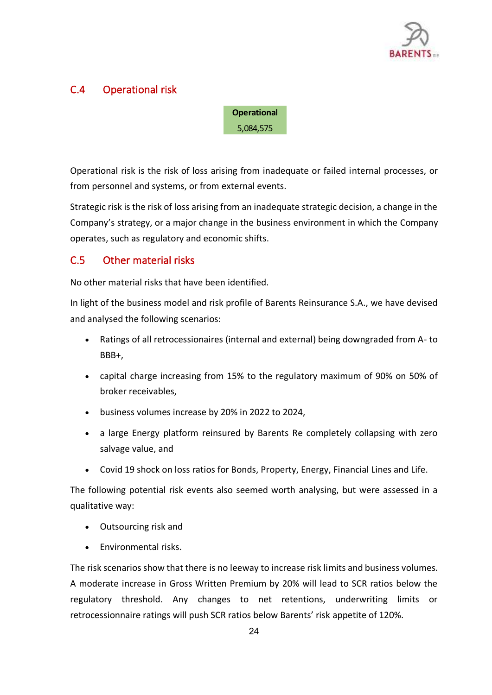

# <span id="page-23-0"></span>C.4 Operational risk

**Operational** 5,084,575

Operational risk is the risk of loss arising from inadequate or failed internal processes, or from personnel and systems, or from external events.

<span id="page-23-1"></span>Strategic risk is the risk of loss arising from an inadequate strategic decision, a change in the Company's strategy, or a major change in the business environment in which the Company operates, such as regulatory and economic shifts.

# C.5 Other material risks

No other material risks that have been identified.

In light of the business model and risk profile of Barents Reinsurance S.A., we have devised and analysed the following scenarios:

- Ratings of all retrocessionaires (internal and external) being downgraded from A- to BBB+,
- capital charge increasing from 15% to the regulatory maximum of 90% on 50% of broker receivables,
- business volumes increase by 20% in 2022 to 2024,
- a large Energy platform reinsured by Barents Re completely collapsing with zero salvage value, and
- Covid 19 shock on loss ratios for Bonds, Property, Energy, Financial Lines and Life.

The following potential risk events also seemed worth analysing, but were assessed in a qualitative way:

- Outsourcing risk and
- Environmental risks.

The risk scenarios show that there is no leeway to increase risk limits and business volumes. A moderate increase in Gross Written Premium by 20% will lead to SCR ratios below the regulatory threshold. Any changes to net retentions, underwriting limits or retrocessionnaire ratings will push SCR ratios below Barents' risk appetite of 120%.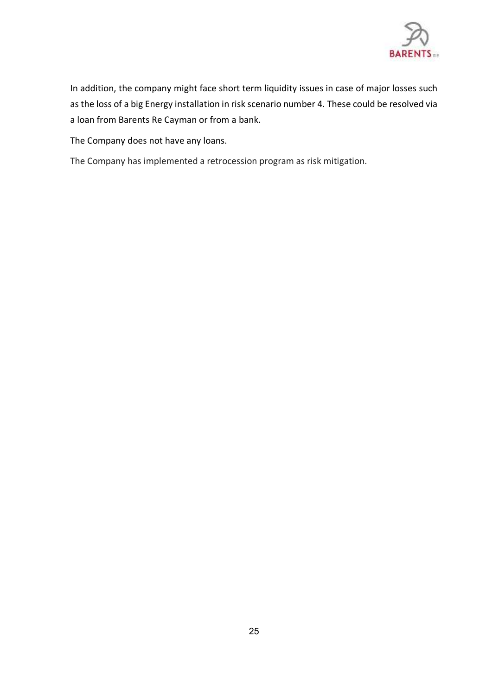

In addition, the company might face short term liquidity issues in case of major losses such as the loss of a big Energy installation in risk scenario number 4. These could be resolved via a loan from Barents Re Cayman or from a bank.

The Company does not have any loans.

The Company has implemented a retrocession program as risk mitigation.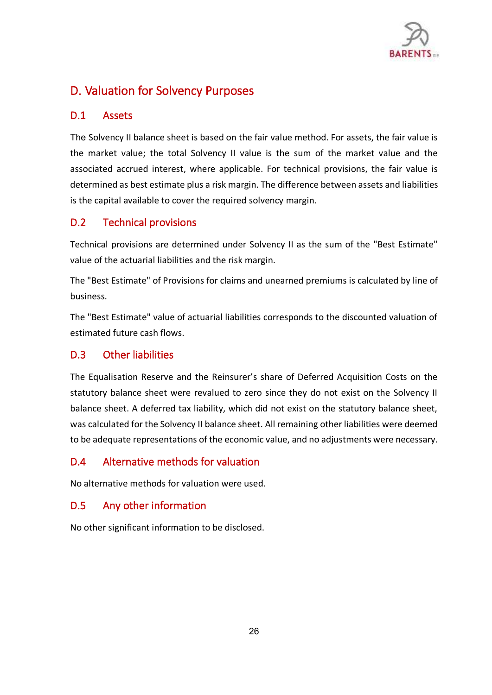

# <span id="page-25-1"></span><span id="page-25-0"></span>D. Valuation for Solvency Purposes

# D.1 Assets

<span id="page-25-2"></span>The Solvency II balance sheet is based on the fair value method. For assets, the fair value is the market value; the total Solvency II value is the sum of the market value and the associated accrued interest, where applicable. For technical provisions, the fair value is determined as best estimate plus a risk margin. The difference between assets and liabilities is the capital available to cover the required solvency margin.

# D.2 Technical provisions

Technical provisions are determined under Solvency II as the sum of the "Best Estimate" value of the actuarial liabilities and the risk margin.

The "Best Estimate" of Provisions for claims and unearned premiums is calculated by line of business.

<span id="page-25-3"></span>The "Best Estimate" value of actuarial liabilities corresponds to the discounted valuation of estimated future cash flows.

# D.3 Other liabilities

<span id="page-25-4"></span>The Equalisation Reserve and the Reinsurer's share of Deferred Acquisition Costs on the statutory balance sheet were revalued to zero since they do not exist on the Solvency II balance sheet. A deferred tax liability, which did not exist on the statutory balance sheet, was calculated for the Solvency II balance sheet. All remaining other liabilities were deemed to be adequate representations of the economic value, and no adjustments were necessary.

# <span id="page-25-5"></span>D.4 Alternative methods for valuation

No alternative methods for valuation were used.

# D.5 Any other information

No other significant information to be disclosed.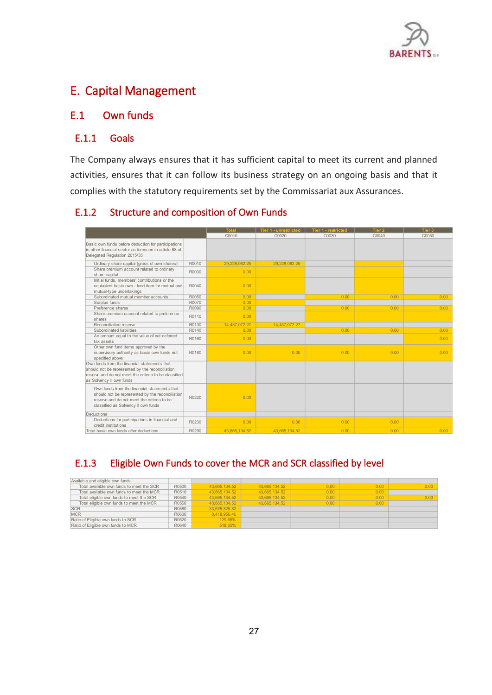

# <span id="page-26-1"></span><span id="page-26-0"></span>E. Capital Management

# E.1 Own funds

### E.1.1 Goals

The Company always ensures that it has sufficient capital to meet its current and planned activities, ensures that it can follow its business strategy on an ongoing basis and that it complies with the statutory requirements set by the Commissariat aux Assurances.

## E.1.2 Structure and composition of Own Funds

|                                                                                                                                                                                      |       | <b>Total</b>  | <b>Tier 1 - unrestricted</b> | <b>Tier 1 - restricted</b> | Tier <sub>2</sub> | Tier 3 |
|--------------------------------------------------------------------------------------------------------------------------------------------------------------------------------------|-------|---------------|------------------------------|----------------------------|-------------------|--------|
|                                                                                                                                                                                      |       | C0010         | C0020                        | C0030                      | C0040             | C0050  |
| Basic own funds before deduction for participations<br>in other financial sector as foreseen in article 68 of<br>Delegated Regulation 2015/35                                        |       |               |                              |                            |                   |        |
| Ordinary share capital (gross of own shares)                                                                                                                                         | R0010 | 29,228,062.25 | 29,228,062.25                |                            |                   |        |
| Share premium account related to ordinary<br>share capital                                                                                                                           | R0030 | 0.00          |                              |                            |                   |        |
| Initial funds, members' contributions or the<br>equivalent basic own - fund item for mutual and<br>mutual-type undertakings                                                          | R0040 | 0.00          |                              |                            |                   |        |
| Subordinated mutual member accounts                                                                                                                                                  | R0050 | 0.00          |                              | 0.00                       | 0.00              | 0.00   |
| Surplus funds                                                                                                                                                                        | R0070 | 0.00          |                              |                            |                   |        |
| Preference shares                                                                                                                                                                    | R0090 | 0.00          |                              | 0.00                       | 0.00              | 0.00   |
| Share premium account related to preference<br>shares                                                                                                                                | R0110 | 0.00          |                              |                            |                   |        |
| Reconciliation reserve                                                                                                                                                               | R0130 | 14,437,072.27 | 14,437,072.27                |                            |                   |        |
| Subordinated liabilities                                                                                                                                                             | R0140 | 0.00          |                              | 0.00                       | 0.00              | 0.00   |
| An amount equal to the value of net deferred<br>tax assets                                                                                                                           | R0160 | 0.00          |                              |                            |                   | 0.00   |
| Other own fund items approved by the<br>supervisory authority as basic own funds not<br>specified above                                                                              | R0180 | 0.00          | 0.00                         | 0.00                       | 0.00              | 0.00   |
| Own funds from the financial statements that<br>should not be represented by the reconciliation<br>reserve and do not meet the criteria to be classified<br>as Solvency II own funds |       |               |                              |                            |                   |        |
| Own funds from the financial statements that<br>should not be represented by the reconciliation<br>reserve and do not meet the criteria to be<br>classified as Solvency II own funds | R0220 | 0.00          |                              |                            |                   |        |
| Deductions                                                                                                                                                                           |       |               |                              |                            |                   |        |
| Deductions for participations in financial and<br>credit institutions                                                                                                                | R0230 | 0.00          | 0.00                         | 0.00                       | 0.00              |        |
| Total basic own funds after deductions                                                                                                                                               | R0290 | 43.665.134.52 | 43.665.134.52                | 0.00                       | 0.00              | 0.00   |

# E.1.3 Eligible Own Funds to cover the MCR and SCR classified by level

| R0500 | 43.665.134.52 | 43.665.134.52 | 0.00 | 0.00 | 0.00 |
|-------|---------------|---------------|------|------|------|
| R0510 | 43.665.134.52 | 43.665.134.52 | 0.00 | 0.00 |      |
| R0540 | 43.665.134.52 | 43.665.134.52 | 0.00 | 0.00 | 0.00 |
| R0550 | 43.665.134.52 | 43.665.134.52 | 0.00 | 0.00 |      |
| R0580 | 33.675.825.82 |               |      |      |      |
| R0600 | 8.418.956.46  |               |      |      |      |
| R0620 | 129.66%       |               |      |      |      |
| R0640 | 518.65%       |               |      |      |      |
|       |               |               |      |      |      |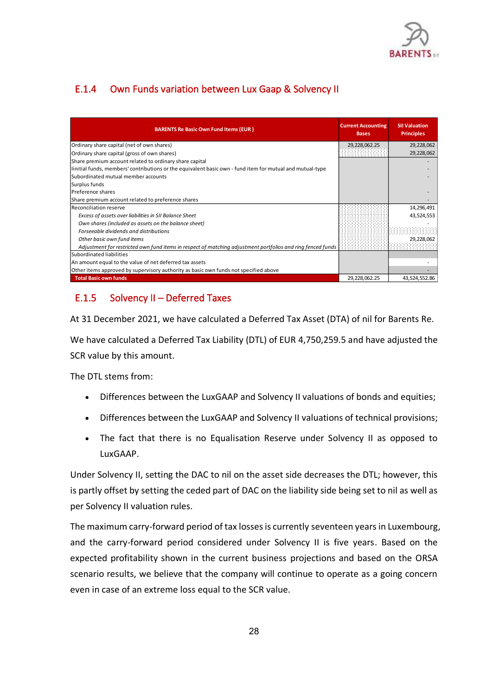

# E.1.4 Own Funds variation between Lux Gaap & Solvency II

| <b>BARENTS Re Basic Own Fund Items (EUR)</b>                                                                | <b>Current Accounting</b><br><b>Bases</b> | <b>SII Valuation</b><br><b>Principles</b> |
|-------------------------------------------------------------------------------------------------------------|-------------------------------------------|-------------------------------------------|
| Ordinary share capital (net of own shares)                                                                  | 29,228,062.25                             | 29,228,062                                |
| Ordinary share capital (gross of own shares)                                                                |                                           | 29,228,062                                |
| Share premium account related to ordinary share capital                                                     |                                           |                                           |
| linitial funds, members' contributions or the equivalent basic own - fund item for mutual and mutual-type   |                                           |                                           |
| Subordinated mutual member accounts                                                                         |                                           |                                           |
| Surplus funds                                                                                               |                                           |                                           |
| Preference shares                                                                                           |                                           |                                           |
| Share premium account related to preference shares                                                          |                                           |                                           |
| Reconciliation reserve                                                                                      |                                           | 14,296,491                                |
| Excess of assets over liabilities in SII Balance Sheet                                                      |                                           | 43,524,553                                |
| Own shares (included as assets on the balance sheet)                                                        |                                           |                                           |
| Forseeable dividends and distributions                                                                      |                                           |                                           |
| Other basic own fund items                                                                                  |                                           | 29,228,062                                |
| Adjustment for restricted own fund items in respect of matching adjustment portfolios and ring fenced funds |                                           |                                           |
| Subordinated liabilities                                                                                    |                                           |                                           |
| An amount equal to the value of net deferred tax assets                                                     |                                           |                                           |
| Other items approved by supervisory authority as basic own funds not specified above                        |                                           |                                           |
| <b>Total Basic own funds</b>                                                                                | 29,228,062.25                             | 43,524,552.86                             |

# E.1.5 Solvency II – Deferred Taxes

At 31 December 2021, we have calculated a Deferred Tax Asset (DTA) of nil for Barents Re.

We have calculated a Deferred Tax Liability (DTL) of EUR 4,750,259.5 and have adjusted the SCR value by this amount.

The DTL stems from:

- Differences between the LuxGAAP and Solvency II valuations of bonds and equities;
- Differences between the LuxGAAP and Solvency II valuations of technical provisions;
- The fact that there is no Equalisation Reserve under Solvency II as opposed to LuxGAAP.

Under Solvency II, setting the DAC to nil on the asset side decreases the DTL; however, this is partly offset by setting the ceded part of DAC on the liability side being set to nil as well as per Solvency II valuation rules.

The maximum carry-forward period of tax losses is currently seventeen years in Luxembourg, and the carry-forward period considered under Solvency II is five years. Based on the expected profitability shown in the current business projections and based on the ORSA scenario results, we believe that the company will continue to operate as a going concern even in case of an extreme loss equal to the SCR value.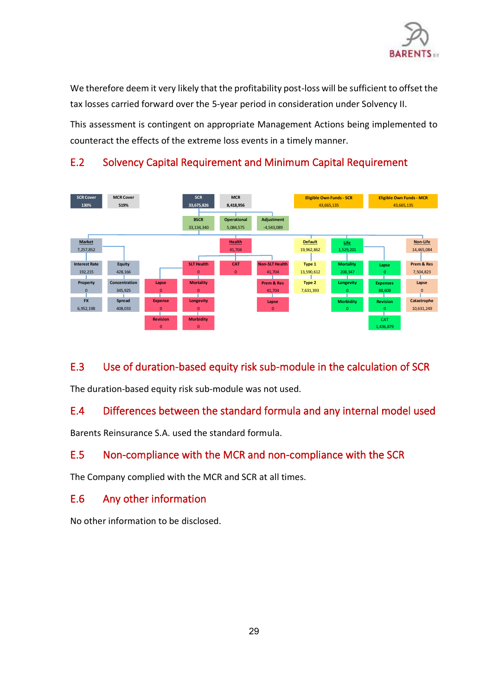

We therefore deem it very likely that the profitability post-loss will be sufficient to offset the tax losses carried forward over the 5-year period in consideration under Solvency II.

<span id="page-28-0"></span>This assessment is contingent on appropriate Management Actions being implemented to counteract the effects of the extreme loss events in a timely manner.



# E.2 Solvency Capital Requirement and Minimum Capital Requirement

# <span id="page-28-2"></span><span id="page-28-1"></span>E.3 Use of duration-based equity risk sub-module in the calculation of SCR

The duration-based equity risk sub-module was not used.

# <span id="page-28-3"></span>E.4 Differences between the standard formula and any internal model used

Barents Reinsurance S.A. used the standard formula.

# <span id="page-28-4"></span>E.5 Non-compliance with the MCR and non-compliance with the SCR

The Company complied with the MCR and SCR at all times.

# E.6 Any other information

No other information to be disclosed.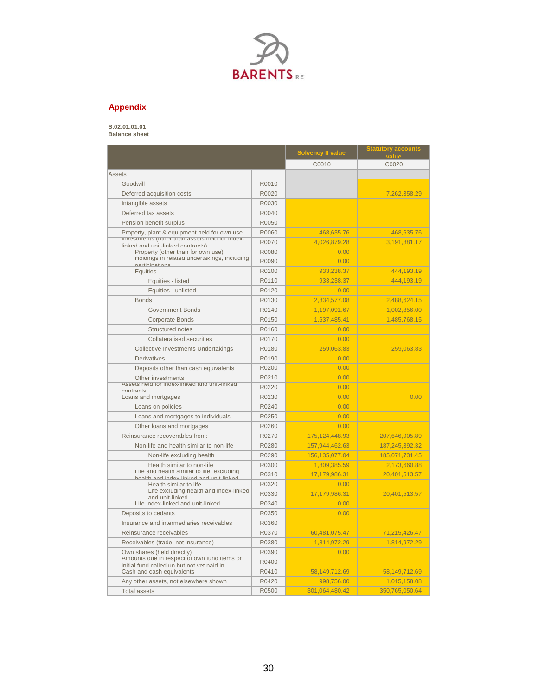

### **Appendix**

### **S.02.01.01.01**

**Balance sheet**

|                                                                                            |       | <b>Solvency II value</b> | <b>Statutory accounts</b><br>value |
|--------------------------------------------------------------------------------------------|-------|--------------------------|------------------------------------|
|                                                                                            |       | C0010                    | C0020                              |
| <b>Assets</b>                                                                              |       |                          |                                    |
| Goodwill                                                                                   | R0010 |                          |                                    |
| Deferred acquisition costs                                                                 | R0020 |                          | 7,262,358.29                       |
| Intangible assets                                                                          | R0030 |                          |                                    |
| Deferred tax assets                                                                        | R0040 |                          |                                    |
| Pension benefit surplus                                                                    | R0050 |                          |                                    |
| Property, plant & equipment held for own use                                               | R0060 | 468,635.76               | 468,635.76                         |
| <b>Investments (other than assets held for index-</b><br>linked and unit-linked contracte) | R0070 | 4,026,879.28             | 3,191,881.17                       |
| Property (other than for own use)                                                          | R0080 | 0.00                     |                                    |
| Holdings in related undertakings, including<br>narticinations                              | R0090 | 0.00                     |                                    |
| <b>Equities</b>                                                                            | R0100 | 933,238.37               | 444,193.19                         |
| Equities - listed                                                                          | R0110 | 933,238.37               | 444.193.19                         |
| Equities - unlisted                                                                        | R0120 | 0.00                     |                                    |
| <b>Bonds</b>                                                                               | R0130 | 2,834,577.08             | 2,488,624.15                       |
| <b>Government Bonds</b>                                                                    | R0140 | 1,197,091.67             | 1,002,856.00                       |
| <b>Corporate Bonds</b>                                                                     | R0150 | 1,637,485.41             | 1,485,768.15                       |
| Structured notes                                                                           | R0160 | 0.00                     |                                    |
| <b>Collateralised securities</b>                                                           | R0170 | 0.00                     |                                    |
| <b>Collective Investments Undertakings</b>                                                 | R0180 | 259,063.83               | 259,063.83                         |
| <b>Derivatives</b>                                                                         | R0190 | 0.00                     |                                    |
| Deposits other than cash equivalents                                                       | R0200 | 0.00                     |                                    |
| Other investments                                                                          | R0210 | 0.00                     |                                    |
| Assets neig for ingex-linked and unit-linked<br>contracts                                  | R0220 | 0.00                     |                                    |
| Loans and mortgages                                                                        | R0230 | 0.00                     | 0.00                               |
| Loans on policies                                                                          | R0240 | 0.00                     |                                    |
| Loans and mortgages to individuals                                                         | R0250 | 0.00                     |                                    |
| Other loans and mortgages                                                                  | R0260 | 0.00                     |                                    |
| Reinsurance recoverables from:                                                             | R0270 | 175, 124, 448.93         | 207,646,905.89                     |
| Non-life and health similar to non-life                                                    | R0280 | 157,944,462.63           | 187,245,392.32                     |
| Non-life excluding health                                                                  | R0290 | 156, 135, 077.04         | 185,071,731.45                     |
| Health similar to non-life                                                                 | R0300 | 1,809,385.59             | 2,173,660.88                       |
| Life and nealth similar to life, excluding<br>health and indev-linked and unit-linked      | R0310 | 17.179.986.31            | 20.401.513.57                      |
| Health similar to life                                                                     | R0320 | 0.00                     |                                    |
| Life excluding nealth and index-linked<br>he Junit-links                                   | R0330 | 17,179,986.31            | 20,401,513.57                      |
| Life index-linked and unit-linked                                                          | R0340 | 0.00                     |                                    |
| Deposits to cedants                                                                        | R0350 | 0.00                     |                                    |
| Insurance and intermediaries receivables                                                   | R0360 |                          |                                    |
| Reinsurance receivables                                                                    | R0370 | 60,481,075.47            | 71,215,426.47                      |
| Receivables (trade, not insurance)                                                         | R0380 | 1,814,972.29             | 1,814,972.29                       |
| Own shares (held directly)                                                                 | R0390 | 0.00                     |                                    |
| Amounts que in respect or own rung items or<br>initial fund called un hut not vet naid in  | R0400 |                          |                                    |
| Cash and cash equivalents                                                                  | R0410 | 58,149,712.69            | 58,149,712.69                      |
| Any other assets, not elsewhere shown                                                      | R0420 | 998,756.00               | 1,015,158.08                       |
| <b>Total assets</b>                                                                        | R0500 | 301,064,480.42           | 350,765,050.64                     |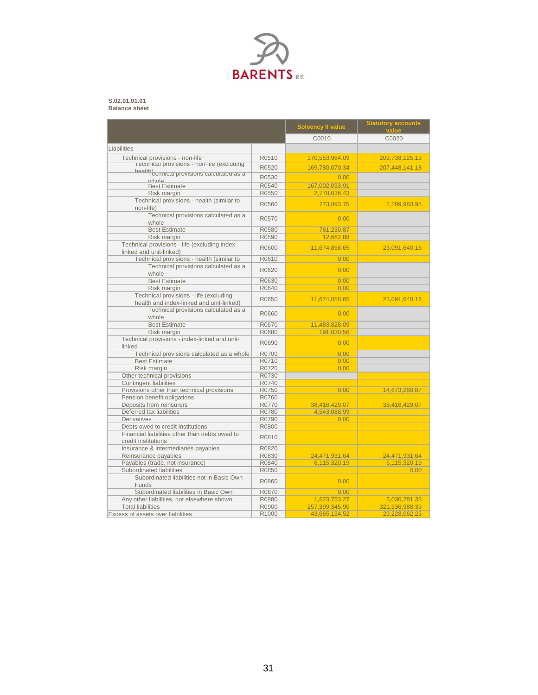

### **S.02.01.01.01 Balance sheet**

|                                                                                       |       | <b>Solvency II value</b>    | <b>Statutory accounts</b><br>value |
|---------------------------------------------------------------------------------------|-------|-----------------------------|------------------------------------|
|                                                                                       |       | C0010                       | C0020                              |
| Liabilities                                                                           |       |                             |                                    |
|                                                                                       |       |                             |                                    |
| Technical provisions - non-life<br><b>recnnical provisions - non-life (excluding)</b> | R0510 | 170,553,964.09              | 209,738,125.13                     |
|                                                                                       | R0520 | 169,780,070.34              | 207,448,141.18                     |
| health)<br>Tecnnical provisions calculated as a<br>uthole                             | R0530 | 0.00                        |                                    |
| <b>Best Estimate</b>                                                                  | R0540 | 167,002,033.91              |                                    |
| Risk margin                                                                           | R0550 | 2,778,036.43                |                                    |
| Technical provisions - health (similar to                                             |       |                             |                                    |
| non-life)                                                                             | R0560 | 773,893.75                  | 2,289,983.95                       |
| Technical provisions calculated as a                                                  | R0570 | 0.00                        |                                    |
| whole                                                                                 |       |                             |                                    |
| <b>Best Estimate</b>                                                                  | R0580 | 761,230.87                  |                                    |
| Risk margin                                                                           | R0590 | 12,662.88                   |                                    |
| Technical provisions - life (excluding index-                                         | R0600 | 11,674,858.65               | 23,091,640.16                      |
| linked and unit-linked)                                                               |       |                             |                                    |
| Technical provisions - health (similar to                                             | R0610 | 0.00                        |                                    |
| Technical provisions calculated as a                                                  | R0620 | 0.00                        |                                    |
| whole                                                                                 |       |                             |                                    |
| <b>Best Estimate</b>                                                                  | R0630 | 0.00                        |                                    |
| Risk margin                                                                           | R0640 | 0.00                        |                                    |
| Technical provisions - life (excluding                                                | R0650 | 11,674,858.65               | 23,091,640.16                      |
| health and index-linked and unit-linked)                                              |       |                             |                                    |
| Technical provisions calculated as a                                                  | R0660 | 0.00                        |                                    |
| whole                                                                                 |       |                             |                                    |
| <b>Best Estimate</b>                                                                  | R0670 | 11,483,828.09<br>191,030.56 |                                    |
| Risk margin                                                                           | R0680 |                             |                                    |
| Technical provisions - index-linked and unit-<br>linked                               | R0690 | 0.00                        |                                    |
| Technical provisions calculated as a whole                                            | R0700 | 0.00                        |                                    |
| <b>Best Estimate</b>                                                                  | R0710 | 0.00                        |                                    |
| Risk margin                                                                           | R0720 | 0.00                        |                                    |
| Other technical provisions                                                            | R0730 |                             |                                    |
| <b>Contingent liabilities</b>                                                         | R0740 |                             |                                    |
| Provisions other than technical provisions                                            | R0750 | 0.00                        | 14,673,260.87                      |
| Pension benefit obligations                                                           | R0760 |                             |                                    |
| Deposits from reinsurers                                                              | R0770 | 38,416,429.07               | 38,416,429.07                      |
| Deferred tax liabilities                                                              | R0780 | 4,543,088.99                |                                    |
| Derivatives                                                                           | R0790 | 0.00                        |                                    |
| Debts owed to credit institutions                                                     | R0800 |                             |                                    |
| Financial liabilities other than debts owed to                                        | R0810 |                             |                                    |
| credit institutions                                                                   |       |                             |                                    |
| Insurance & intermediaries payables                                                   | R0820 |                             |                                    |
| Reinsurance payables                                                                  | R0830 | 24,471,931.64               | 24,471,931.64                      |
| Payables (trade, not insurance)                                                       | R0840 | 6.115.320.19                | 6,115,320.19                       |
| Subordinated liabilities                                                              | R0850 |                             | 0.00                               |
| Subordinated liabilities not in Basic Own                                             | R0860 | 0.00                        |                                    |
| <b>Funds</b>                                                                          |       |                             |                                    |
| Subordinated liabilities in Basic Own                                                 | R0870 | 0.00                        |                                    |
| Any other liabilities, not elsewhere shown                                            | R0880 | 1,623,753.27                | 5,030,281.33                       |
| <b>Total liabilities</b>                                                              | R0900 | 257,399,345.90              | 321,536,988.39                     |
| Excess of assets over liabilities                                                     | R1000 | 43.665.134.52               | 29.228.062.25                      |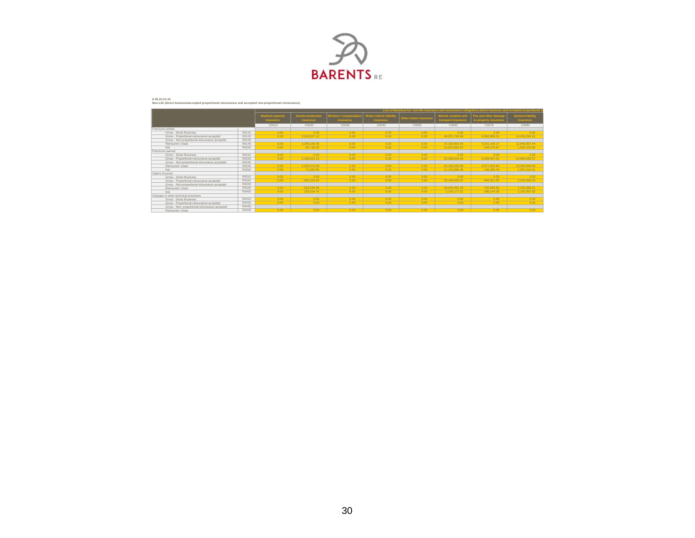

#### **S.05.01.01.01 Non-Life (direct business/accepted proportional reinsurance and accepted non-proportional reinsurance)**

|                                                |       | Line of Business for: non-life insurance and reinsurance obligations (direct business and accepted proportiona |                                |                                                 |                                                    |                       |                                             |                                                       |                                              |
|------------------------------------------------|-------|----------------------------------------------------------------------------------------------------------------|--------------------------------|-------------------------------------------------|----------------------------------------------------|-----------------------|---------------------------------------------|-------------------------------------------------------|----------------------------------------------|
|                                                |       | <b>Medical expense</b><br><b>Insurance</b>                                                                     | Income protection<br>insurance | <b>Workers' compensatio</b><br><b>Insurance</b> | <b>Motor vehicle liability</b><br><b>Insurance</b> | Other motor insurance | Marine, aviation and<br>transport insurance | <b>Fire and other damage</b><br>to property insurance | <b>General liability</b><br><b>Insurance</b> |
|                                                |       | C0010                                                                                                          | C0020                          | C0030                                           | C0040                                              | C0050                 | C0060                                       | C0070                                                 | C0080                                        |
| Premiums written                               |       |                                                                                                                |                                |                                                 |                                                    |                       |                                             |                                                       |                                              |
| Gross - Direct Business                        | R0110 | 0.00                                                                                                           | 0.00                           | 0.00                                            | 0.00                                               | 0.00                  | 0.00                                        | 0.00                                                  | 0.00                                         |
| Gross - Proportional reinsurance accepted      | R0120 | 0.00                                                                                                           | 3.263.507.12                   | 0.00                                            | 0.00                                               | 0.00                  | 48.251.746.56                               | 8.082.869.31                                          | 14.433.294.31                                |
| Gross - Non-proportional reinsurance accepted  | R0130 |                                                                                                                |                                |                                                 |                                                    |                       |                                             |                                                       |                                              |
| Reinsurers' share                              | R0140 | 0.00                                                                                                           | 3.346.246.36                   | 0.00                                            | 0.00                                               | 0.00                  | 37.326.863.04                               | 8.331.148.17                                          | 12.840.967.44                                |
| Net                                            | R0200 | 0.00                                                                                                           | $-82.739.25$                   | 0.00                                            | 0.00                                               | 0.00                  | 10.924.883.52                               | -248.278.87                                           | 1,592,326.88                                 |
| Premiums earned                                |       |                                                                                                                |                                |                                                 |                                                    |                       |                                             |                                                       |                                              |
| Gross - Direct Business                        | R0210 | 0.00                                                                                                           | 0.00                           | 0.00                                            | 0.00                                               | 0.00                  | 0.00                                        | 0.00                                                  | 0.00                                         |
| Gross - Proportional reinsurance accepted      | R0220 | 0.00                                                                                                           | 2.188.321.14                   | 0.00                                            | 0.00                                               | 0.00                  | 53.298.619.46                               | 6.438.347.41                                          | 14.694.193.67                                |
| Gross - Non-proportional reinsurance accepted  | R0230 |                                                                                                                |                                |                                                 |                                                    |                       |                                             |                                                       |                                              |
| Reinsurers' share                              | R0240 | 0.00                                                                                                           | 2.259.373.69                   | 0.00                                            | 0.00                                               | 0.00                  | 42.166.633.98                               | 6.577.633.84                                          | 13.092.949.36                                |
| Net                                            | R0300 | 0.00                                                                                                           | $-71.052.56$                   | 0.00                                            | 0.00                                               | 0.00                  | 11,131,985.48                               | $-139.286.44$                                         | 1,601,244.31                                 |
| Claims incurred                                |       |                                                                                                                |                                |                                                 |                                                    |                       |                                             |                                                       |                                              |
| Gross - Direct Business                        | R0310 | 0.00                                                                                                           | 0.00                           | 0.00                                            | 0.00                                               | 0.00                  | 0.00                                        | 0.00                                                  | 0.00                                         |
| Gross - Proportional reinsurance accepted      | R0320 | 0.00                                                                                                           | $-393.221.64$                  | 0.00                                            | 0.00                                               | 0.00                  | 33.148.629.37                               | -466.551.55                                           | 2.620.596.03                                 |
| Gross - Non-proportional reinsurance accepted  | R0330 |                                                                                                                |                                |                                                 |                                                    |                       |                                             |                                                       |                                              |
| Reinsurers' share                              | R0340 | 0.00                                                                                                           | $-523.546.39$                  | 0.00                                            | 0.00                                               | 0.00                  | 30.445.452.35                               | $-762.695.85$                                         | 1.423.588.21                                 |
| Net                                            | R0400 | 0.00                                                                                                           | 130.324.74                     | 0.00                                            | 0.00                                               | 0.00                  | 2.703.177.01                                | 296.144.30                                            | 1,197,007.82                                 |
| Changes in other technical provisions          |       |                                                                                                                |                                |                                                 |                                                    |                       |                                             |                                                       |                                              |
| Gross - Direct Business                        | R0410 | 0.00                                                                                                           | 0.00                           | 0.00                                            | 0.00                                               | 0.00                  | 0.00                                        | 0.00                                                  | 0.00                                         |
| Gross - Proportional reinsurance accepted      | R0420 | 0.00                                                                                                           | 0.00                           | 0.00                                            | 0.00                                               | 0.00                  | 0.00                                        | 0.00                                                  | 0.00                                         |
| Gross - Non- proportional reinsurance accepted | R0430 |                                                                                                                |                                |                                                 |                                                    |                       |                                             |                                                       |                                              |
| Reinsurers' share                              | R0440 | 0.00                                                                                                           | 0.00                           | 0.00                                            | 0.00                                               | 0.00                  | 0.00                                        | 0.00                                                  | 0.00                                         |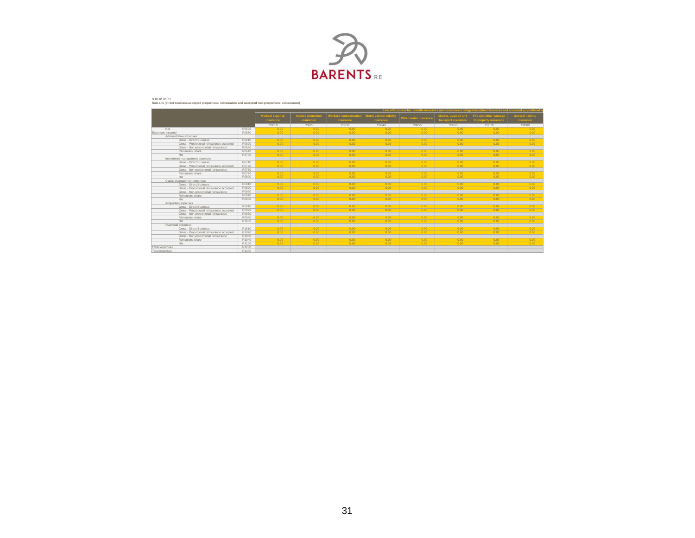

#### **S.05.01.01.01 Non-Life (direct business/accepted proportional reinsurance and accepted non-proportional reinsurance)**

|                                           |       | Line of Business for: non-life insurance and reinsurance obligations (direct business and accepted proportio |                                |                                                |                                             |                       |                                             |                                                |                                              |
|-------------------------------------------|-------|--------------------------------------------------------------------------------------------------------------|--------------------------------|------------------------------------------------|---------------------------------------------|-----------------------|---------------------------------------------|------------------------------------------------|----------------------------------------------|
|                                           |       | <b>Medical expense</b><br><b>Insurance</b>                                                                   | Income protection<br>insurance | <b>Workers' compensati</b><br><b>Insurance</b> | Motor vehicle liability<br><b>Insurance</b> | Other motor insurance | Marine, aviation and<br>transport insurance | Fire and other damage<br>to property insurance | <b>General liability</b><br><b>Insurance</b> |
|                                           |       | C0010                                                                                                        | C0020                          | C0030                                          | C0040                                       | C0050                 | C0060                                       | C0070                                          | C0080                                        |
| Net                                       | R0500 | 0.00                                                                                                         | 0.00                           | 0.00                                           | 0.00                                        | 0.00                  | 0.00                                        | 0.00                                           | 0.00                                         |
| Expenses incurred                         | R0550 | 0.00                                                                                                         | 0.00                           | 0.00                                           | 0.00                                        | 0.00                  | 0.00                                        | 0.00                                           | 0.00                                         |
| Administrative expenses                   |       |                                                                                                              |                                |                                                |                                             |                       |                                             |                                                |                                              |
| Gross - Direct Business                   | R0610 | 0.00                                                                                                         | 0.00                           | 0.00                                           | 0.00                                        | 0.00                  | 0.00                                        | 0.00                                           | 0.00                                         |
| Gross - Proportional reinsurance accepted | R0620 | 0.00                                                                                                         | 0.00                           | 0.00                                           | 0.00                                        | 0.00                  | 0.00                                        | 0.00                                           | 0.00                                         |
| Gross - Non-proportional reinsurance      | R0630 |                                                                                                              |                                |                                                |                                             |                       |                                             |                                                |                                              |
| Reinsurers' share                         | R0640 | 0.00                                                                                                         | 0.00                           | 0.00                                           | 0.00                                        | 0.00                  | 0.00                                        | 0.00                                           | 0.00                                         |
| Net                                       | R0700 | 0.00                                                                                                         | 0.00                           | 0.00                                           | 0.00                                        | 0.00                  | 0.00                                        | 0.00                                           | 0.00                                         |
| Investment management expenses            |       |                                                                                                              |                                |                                                |                                             |                       |                                             |                                                |                                              |
| Gross - Direct Business                   | R0710 | 0.00                                                                                                         | 0.00                           | 0.00                                           | 0.00                                        | 0.00                  | 0.00                                        | 0.00                                           | 0.00                                         |
| Gross - Proportional reinsurance accepted | R0720 | 0.00                                                                                                         | 0.00                           | 0.00                                           | 0.00                                        | 0.00                  | 0.00                                        | 0.00                                           | 0.00                                         |
| Gross - Non-proportional reinsurance      | R0730 |                                                                                                              |                                |                                                |                                             |                       |                                             |                                                |                                              |
| Reinsurers' share                         | R0740 | 0.00                                                                                                         | 0.00                           | 0.00                                           | 0.00                                        | 0.00                  | 0.00                                        | 0.00                                           | 0.00                                         |
| Net                                       | R0800 | 0.00                                                                                                         | 0.00                           | 0.00                                           | 0.00                                        | 0.00                  | 0.00                                        | 0.00                                           | 0.00                                         |
| Claims management expenses                |       |                                                                                                              |                                |                                                |                                             |                       |                                             |                                                |                                              |
| Gross - Direct Business                   | R0810 | 0.00                                                                                                         | 0.00                           | 0.00                                           | 0.00                                        | 0.00                  | 0.00                                        | 0.00                                           | 0.00                                         |
| Gross - Proportional reinsurance accepted | R0820 | 0.00                                                                                                         | 0.00                           | 0.00                                           | 0.00                                        | 0.00                  | 0.00                                        | 0.00                                           | 0.00                                         |
| Gross - Non-proportional reinsurance      | R0830 |                                                                                                              |                                |                                                |                                             |                       |                                             |                                                |                                              |
| Reinsurers' share                         | R0840 | 0.00                                                                                                         | 0.00                           | 0.00                                           | 0.00                                        | 0.00                  | 0.00                                        | 0.00                                           | 0.00                                         |
| Net                                       | R0900 | 0.00                                                                                                         | 0.00                           | 0.00                                           | 0.00                                        | 0.00                  | 0.00                                        | 0.00                                           | 0.00                                         |
| Acquisition expenses                      |       |                                                                                                              |                                |                                                |                                             |                       |                                             |                                                |                                              |
| Gross - Direct Business                   | R0910 | 0.00                                                                                                         | 0.00                           | 0.00                                           | 0.00                                        | 0.00                  | 0.00                                        | 0.00                                           | 0.00                                         |
| Gross - Proportional reinsurance accepted | R0920 | 0.00                                                                                                         | 0.00                           | 0.00                                           | 0.00                                        | 0.00                  | 0.00                                        | 0.00                                           | 0.00                                         |
| Gross - Non-proportional reinsurance      | R0930 |                                                                                                              |                                |                                                |                                             |                       |                                             |                                                |                                              |
| Reinsurers' share                         | R0940 | 0.00                                                                                                         | 0.00                           | 0.00                                           | 0.00                                        | 0.00                  | 0.00                                        | 0.00                                           | 0.00                                         |
| Net                                       | R1000 | 0.00                                                                                                         | 0.00                           | 0.00                                           | 0.00                                        | 0.00                  | 0.00                                        | 0.00                                           | 0.00                                         |
| Overhead expenses                         |       |                                                                                                              |                                |                                                |                                             |                       |                                             |                                                |                                              |
| Gross - Direct Business                   | R1010 | 0.00                                                                                                         | 0.00                           | 0.00                                           | 0.00                                        | 0.00                  | 0.00                                        | 0.00                                           | 0.00                                         |
| Gross - Proportional reinsurance accepted | R1020 | 0.00                                                                                                         | 0.00                           | 0.00                                           | 0.00                                        | 0.00                  | 0.00                                        | 0.00                                           | 0.00                                         |
| Gross - Non-proportional reinsurance      | R1030 |                                                                                                              |                                |                                                |                                             |                       |                                             |                                                |                                              |
| Reinsurers' share                         | R1040 | 0.00                                                                                                         | 0.00                           | 0.00                                           | 0.00                                        | 0.00                  | 0.00                                        | 0.00                                           | 0.00                                         |
| Net                                       | R1100 | 0.00                                                                                                         | 0.00                           | 0.00                                           | 0.00                                        | 0.00                  | 0.00                                        | 0.00                                           | 0.00                                         |
| Other expenses                            | R1200 |                                                                                                              |                                |                                                |                                             |                       |                                             |                                                |                                              |
| Total expenses                            | R1300 |                                                                                                              |                                |                                                |                                             |                       |                                             |                                                |                                              |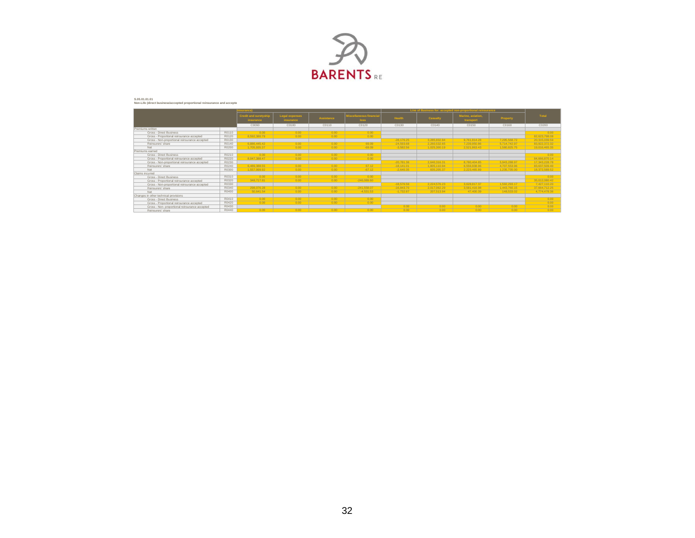

#### S.05.01.01.01<br>Non-Life (direct business/accepted proportional reinsurance and accepte

|                                                |       | surance)                                  |                             |                   |                                        |              | Line of Business for: accepted non-proportional reinsurance |                                |              |               |
|------------------------------------------------|-------|-------------------------------------------|-----------------------------|-------------------|----------------------------------------|--------------|-------------------------------------------------------------|--------------------------------|--------------|---------------|
|                                                |       | <b>Credit and suretyship</b><br>insurance | Legal expenses<br>insurance | <b>Assistance</b> | <b>Ilscellaneous financial</b><br>loss | Health       | Casualty                                                    | Marine, aviation,<br>transport | Property     | Total         |
|                                                |       | C0090                                     | C0100                       | C0110             | C0120                                  | C0130        | C0140                                                       | C0150                          | C0160        | C0200         |
| Premiums written                               |       |                                           |                             |                   |                                        |              |                                                             |                                |              |               |
| Gross - Direct Business                        | R0110 | 0.00                                      | 0.00                        | 0.00              | 0.00                                   |              |                                                             |                                |              | 0.00          |
| Gross - Proportional reinsurance accepted      | R0120 | 8.592.380.79                              | 0.00                        | 0.00              | 0.00                                   |              |                                                             |                                |              | 82.623.798.08 |
| Gross - Non-proportional reinsurance accepted  | R0130 |                                           |                             |                   |                                        | $-28.176.25$ | 3.285.832.84                                                | 9.761.814.28                   | 7.295.568.72 | 20,315,039.59 |
| Reinsurers' share                              | R0140 | 6.886.445.42                              | 0.00                        | 0.00              | 69.09                                  | $-24.593.68$ | 2.260.532.65                                                | 7.239.950.86                   | 5.714.742.97 | 83.922.372.32 |
| Net                                            | R0200 | 1.705.935.37                              | 0.00                        | 0.00              | $-69.09$                               | $-3.582.56$  | 1.025.300.19                                                | 2.521.863.43                   | 1.580.825.75 | 19,016,465.35 |
| Premiums earned                                |       |                                           |                             |                   |                                        |              |                                                             |                                |              |               |
| Gross - Direct Business                        | R0210 | 0.00                                      | 0.00                        | 0.00              | 0.00                                   |              |                                                             |                                |              | 0.00          |
| Gross - Proportional reinsurance accepted      | R0220 | 8 047 388 47                              | 0.00                        | 0.00              | 0.00                                   |              |                                                             |                                |              | 84.666.870.14 |
| Gross - Non-proportional reinsurance accepted  | R0230 |                                           |                             |                   |                                        | $-20.781.36$ | 2.640.316.31                                                | 8.780.404.85                   | 5.943.288.97 | 17,343,228.78 |
| Reinsurers' share                              | R0240 | 6.489.388.55                              | 0.00                        | 0.00              | 67.12                                  | $-18.141.01$ | 1.805.110.94                                                | 6.556.938.96                   | 4.707.553.96 | 83.637.509.40 |
| Net                                            | R0300 | 1.557.999.92                              | 0.00                        | 0.00              | $-67.12$                               | $-2.640.35$  | 835.205.37                                                  | 2.223.465.89                   | 1.235.735.00 | 18,372,589.52 |
| Claims incurred                                |       |                                           |                             |                   |                                        |              |                                                             |                                |              |               |
| Gross - Direct Business                        | R0310 | 0.00                                      | 0.00                        | 0.00              | 0.00                                   |              |                                                             |                                |              | 0.00          |
| Gross - Proportional reinsurance accepted      | R0320 | 348,717.81                                | 0.00                        | 0.00              | $-246.089.60$                          |              |                                                             |                                |              | 35.012.080.42 |
| Gross - Non-proportional reinsurance accepted  | R0330 |                                           |                             |                   |                                        | $-18.576.56$ | 2.224.576.23                                                | 3.628.817.37                   | 1.592.293.17 | 7.427.110.20  |
| Reinsurers' share                              | R0340 | 298.076.28                                | 0.00                        | 0.00              | $-241.558.07$                          | $-16.843.70$ | 2.017.062.29                                                | 3.581.416.98                   | 1.443.760.15 | 37.664.712.25 |
| Net                                            | R0400 | 50.641.54                                 | 0.00                        | 0.00              | $-4.531.53$                            | $-1.732.87$  | 207.513.94                                                  | 47,400.39                      | 148.533.02   | 4.774.478.36  |
| Changes in other technical provisions          |       |                                           |                             |                   |                                        |              |                                                             |                                |              |               |
| Gross - Direct Business                        | R0410 | 0.00                                      | 0.00                        | 0.00              | 0.00                                   |              |                                                             |                                |              | 0.00          |
| Gross - Proportional reinsurance accepted      | R0420 | 0.00                                      | 0.00                        | 0.00              | 0.00                                   |              |                                                             |                                |              | 0.00          |
| Gross - Non- proportional reinsurance accepted | R0430 |                                           |                             |                   |                                        | 0.00         | 0.00                                                        | 0.00                           | 0.00         | 0.00          |
| Reinsurers' share                              | R0440 | 0.00                                      | 0.00                        | 0.00              | 0.00                                   | 0.00         | 0.00                                                        | 0.00                           | 0.00         | 0.00          |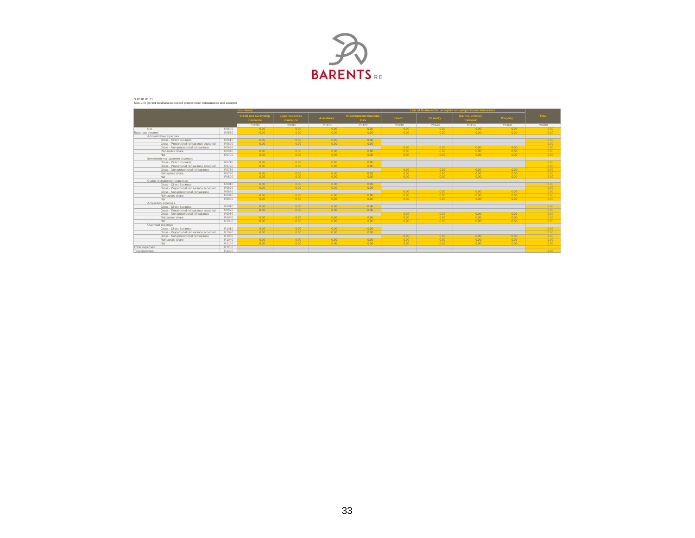

#### S.05.01.01.01<br>Non-Life (direct business/accepted proportional reinsurance and accepte

|                                           |       | surance)                                  |                                    |                   |                                        | Line of Business for: accepted non-proportional reinsurance |          |                                |          |          |
|-------------------------------------------|-------|-------------------------------------------|------------------------------------|-------------------|----------------------------------------|-------------------------------------------------------------|----------|--------------------------------|----------|----------|
|                                           |       | <b>Credit and suretyship</b><br>insurance | Legal expenses<br><b>Insurance</b> | <b>Assistance</b> | <b>Ilscellaneous financial</b><br>loss | Health                                                      | Casualty | Marine, aviation,<br>transport | Property | Total    |
|                                           |       | C0090                                     | C0100                              | C0110             | C0120                                  | C0130                                                       | C0140    | C0150                          | C0160    | C0200    |
| Net                                       | R0500 | 0.00                                      | 0.00                               | 0.00              | 0.00                                   | 0.00                                                        | 0.00     | 0.00                           | 0.00     | 0.00     |
| Expenses incurred                         | R0550 | 0.00                                      | 0.00                               | 0.00              | 0.00                                   | 0.00                                                        | 0.00     | 0.00                           | 0.00     | 0.00     |
| Administrative expenses                   |       |                                           |                                    |                   |                                        |                                                             |          |                                |          |          |
| Gross - Direct Business                   | R0610 | 0.00                                      | 0.00                               | 0.00              | 0.00                                   |                                                             |          |                                |          | 0.00     |
| Gross - Proportional reinsurance accepted | R0620 | 0.00                                      | 0.00                               | 0.00              | 0.00                                   |                                                             |          |                                |          | 0.00     |
| Gross - Non-proportional reinsurance      | R0630 |                                           |                                    |                   |                                        | 0.00                                                        | 0.00     | 0.00                           | 0.00     | 0.00     |
| Reinsurers' share                         | R0640 | 0.00                                      | 0.00                               | 0.00              | 0.00                                   | 0.00                                                        | 0.00     | 0.00                           | 0.00     | 0.00     |
| Net                                       | R0700 | 0.00                                      | 0.00                               | 0.00              | 0.00                                   | 0.00                                                        | 0.00     | 0.00                           | 0.00     | 0.00     |
| Investment management expenses            |       |                                           |                                    |                   |                                        |                                                             |          |                                |          |          |
| Gross - Direct Business                   | R0710 | 0.00                                      | 0.00                               | 0.00              | 0.00                                   |                                                             |          |                                |          | 0.00     |
| Gross - Proportional reinsurance accepted | R0720 | 0.00                                      | 0.00                               | 0.00              | 0.00                                   |                                                             |          |                                |          | 0.00     |
| Gross - Non-proportional reinsurance      | R0730 |                                           |                                    |                   |                                        | 0.00                                                        | 0.00     | 0.00                           | 0.00     | 0.00     |
| Reinsurers' share                         | R0740 | 0.00                                      | 0.00                               | 0.00              | 0.00                                   | 0.00                                                        | 0.00     | 0.00                           | 0.00     | 0.00     |
| Net                                       | R0800 | 0.00                                      | 0.00                               | 0.00              | 0.00                                   | 0.00                                                        | 0.00     | 0.00                           | 0.00     | $0.00 -$ |
| Claims management expenses                |       |                                           |                                    |                   |                                        |                                                             |          |                                |          |          |
| Gross - Direct Business                   | R0810 | 0.00                                      | 0.00                               | 0.00              | 0.00                                   |                                                             |          |                                |          | 0.00     |
| Gross - Proportional reinsurance accepted | R0820 | 0.00                                      | 0.00                               | 0.00              | 0.00                                   |                                                             |          |                                |          | 0.00     |
| Gross - Non-proportional reinsurance      | R0830 |                                           |                                    |                   |                                        | 0.00                                                        | 0.00     | 0.00                           | 0.00     | 0.00     |
| Reinsurers' share                         | R0840 | 0.00                                      | 0.00                               | 0.00              | 0.00                                   | 0.00                                                        | 0.00     | 0.00                           | 0.00     | 0.00     |
| Net                                       | R0900 | 0.00                                      | 0.00                               | 0.00              | 0.00                                   | 0.00                                                        | 0.00     | 0.00                           | 0.00     | 0.00     |
| Acquisition expenses                      |       |                                           |                                    |                   |                                        |                                                             |          |                                |          |          |
| Gross - Direct Business                   | R0910 | 0.00                                      | 0.00                               | 0.00              | 0.00                                   |                                                             |          |                                |          | 0.00     |
| Gross - Proportional reinsurance accepted | R0920 | 0.00                                      | 0.00                               | 0.00              | 0.00                                   |                                                             |          |                                |          | 0.00     |
| Gross - Non-proportional reinsurance      | R0930 |                                           |                                    |                   |                                        | 0.00                                                        | 0.00     | 0.00                           | 0.00     | $0.00 -$ |
| Reinsurers' share                         | R0940 | 0.00                                      | 0.00                               | 0.00              | 0.00                                   | 0.00                                                        | 0.00     | 0.00                           | 0.00     | 0.00     |
| Net                                       | R1000 | 0.00                                      | 0.00                               | 0.00              | 0.00                                   | 0.00                                                        | 0.00     | 0.00                           | 0.00     | 0.00     |
| Overhead expenses                         |       |                                           |                                    |                   |                                        |                                                             |          |                                |          |          |
| Gross - Direct Business                   | R1010 | 0.00                                      | 0.00                               | 0.00              | 0.00                                   |                                                             |          |                                |          | 0.00     |
| Gross - Proportional reinsurance accepted | R1020 | 0.00                                      | 0.00                               | 0.00              | 0.00                                   |                                                             |          |                                |          | 0.00     |
| Gross - Non-proportional reinsurance      | R1030 |                                           |                                    |                   |                                        | 0.00                                                        | 0.00     | 0.00                           | 0.00     | 0.00     |
| Reinsurers' share                         | R1040 | 0.00                                      | 0.00                               | 0.00              | 0.00                                   | 0.00                                                        | 0.00     | 0.00                           | 0.00     | 0.00     |
| Net                                       | R1100 | 0.00                                      | 0.00                               | 0.00              | 0.00                                   | 0.00                                                        | 0.00     | 0.00                           | 0.00     | 0.00     |
| Other expenses                            | R1200 |                                           |                                    |                   |                                        |                                                             |          |                                |          |          |
| Total expenses                            | R1300 |                                           |                                    |                   |                                        |                                                             |          |                                |          | 0.00     |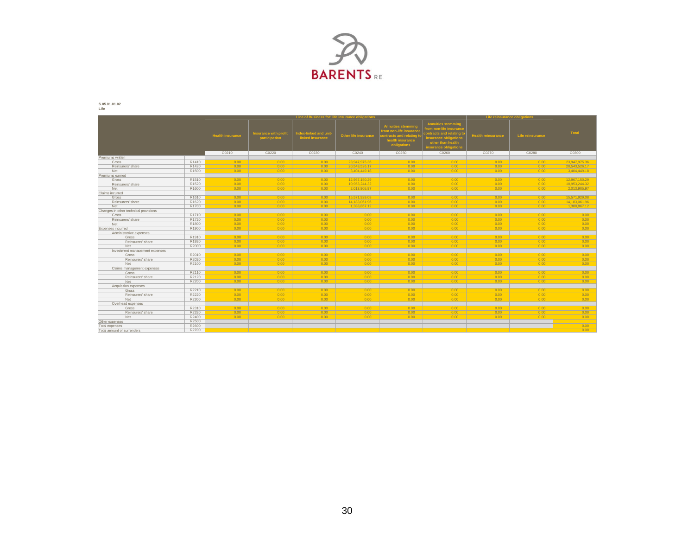

**S.05.01.01.02 Life**

|                                       |       |                         |                                               |                                          | Line of Business for: life insurance obligations |                                                                                                             |                                                                                                                                                         | Life reinsurance obligations |                  |               |
|---------------------------------------|-------|-------------------------|-----------------------------------------------|------------------------------------------|--------------------------------------------------|-------------------------------------------------------------------------------------------------------------|---------------------------------------------------------------------------------------------------------------------------------------------------------|------------------------------|------------------|---------------|
|                                       |       | <b>Health insurance</b> | <b>Insurance with profit</b><br>participation | ndex-linked and unit<br>linked insurance | <b>Other life insurance</b>                      | <b>Annuities stemmin</b><br>rom non-life insuran<br>ntracts and relating<br>health insurance<br>obligations | innuities stemming<br><b>rom non-life insurance</b><br>ontracts and relating <b>1</b><br>nsurance obligation<br>other than health<br>surance obligation | <b>Health reinsurance</b>    | Life reinsurance | Total         |
|                                       |       | C0210                   | C0220                                         | C0230                                    | C0240                                            | C0250                                                                                                       | C0260                                                                                                                                                   | C0270                        | C0280            | C0300         |
| Premiums written                      |       |                         |                                               |                                          |                                                  |                                                                                                             |                                                                                                                                                         |                              |                  |               |
| Gross                                 | R1410 | 0.00                    | 0.00                                          | 0.00                                     | 23.947.975.36                                    | 0.00                                                                                                        | 0.00                                                                                                                                                    | 0.00                         | 0.00             | 23.947.975.36 |
| Reinsurers' share                     | R1420 | 0.00                    | 0.00                                          | 0.00                                     | 20,543,526.17                                    | 0.00                                                                                                        | 0.00                                                                                                                                                    | 0.00                         | 0.00             | 20,543,526.17 |
| Net                                   | R1500 | $0.00 -$                | 0.00                                          | 0.00                                     | 3.404.449.18                                     | 0.00                                                                                                        | 0.00                                                                                                                                                    | 0.00                         | 0.00             | 3.404.449.18  |
| Premiums earned                       |       |                         |                                               |                                          |                                                  |                                                                                                             |                                                                                                                                                         |                              |                  |               |
| Gross                                 | R1510 | 0.00                    | 0.00                                          | 0.00                                     | 12.967.150.29                                    | 0.00                                                                                                        | 0.00                                                                                                                                                    | 0.00                         | 0.00             | 12.967.150.29 |
| Reinsurers' share                     | R1520 | 0.00                    | 0.00                                          | 0.00                                     | 10.953.244.32                                    | 0.00                                                                                                        | 0.00                                                                                                                                                    | 0.00                         | 0.00             | 10.953.244.32 |
| Net                                   | R1600 | 0.00                    | 0.00                                          | 0.00                                     | 2.013.905.97                                     | 0.00                                                                                                        | 0.00                                                                                                                                                    | 0.00                         | 0.00             | 2,013,905.97  |
| Claims incurred                       |       |                         |                                               |                                          |                                                  |                                                                                                             |                                                                                                                                                         |                              |                  |               |
| Gross                                 | R1610 | 0.00                    | 0.00                                          | 0.00                                     | 15.571.929.08                                    | 0.00                                                                                                        | 0.00                                                                                                                                                    | 0.00                         | 0.00             | 15.571.929.08 |
| Reinsurers' share                     | R1620 | 0.00                    | 0.00                                          | 0.00                                     | 14.183.061.96                                    | 0.00                                                                                                        | 0.00                                                                                                                                                    | 0.00                         | 0.00             | 14.183.061.96 |
| Net                                   | R1700 | 0.00                    | 0.00                                          | 0.00                                     | 1.388.867.12                                     | 0.00                                                                                                        | 0.00                                                                                                                                                    | 0.00                         | 0.00             | 1,388,867.12  |
| Changes in other technical provisions |       |                         |                                               |                                          |                                                  |                                                                                                             |                                                                                                                                                         |                              |                  |               |
| Gross                                 | R1710 | 0.00                    | 0.00                                          | 0.00                                     | 0.00                                             | 0.00                                                                                                        | 0.00                                                                                                                                                    | 0.00                         | 0.00             | 0.00          |
| Reinsurers' share                     | R1720 | 0.00                    | 0.00                                          | 0.00                                     | 0.00                                             | 0.00                                                                                                        | 0.00                                                                                                                                                    | 0.00                         | 0.00             | 0.00          |
| Net                                   | R1800 | $0.00 -$                | 0.00                                          | 0.00                                     | 0.00                                             | 0.00                                                                                                        | 0.00                                                                                                                                                    | 0.00                         | 0.00             | 0.00          |
| Expenses incurred                     | R1900 | 0.00                    | 0.00                                          | 0.00                                     | 0.00                                             | 0.00                                                                                                        | 0.00                                                                                                                                                    | 0.00                         | 0.00             | 0.00          |
| Administrative expenses               |       |                         |                                               |                                          |                                                  |                                                                                                             |                                                                                                                                                         |                              |                  |               |
| Gross                                 | R1910 | 0.00                    | 0.00                                          | 0.00                                     | 0.00                                             | 0.00                                                                                                        | 0.00                                                                                                                                                    | 0.00                         | 0.00             | 0.00          |
| Reinsurers' share                     | R1920 | 0.00                    | 0.00                                          | 0.00                                     | 0.00                                             | 0.00                                                                                                        | 0.00                                                                                                                                                    | 0.00                         | 0.00             | 0.00          |
| Net                                   | R2000 | 0.00                    | 0.00                                          | 0.00                                     | 0.00                                             | 0.00                                                                                                        | 0.00                                                                                                                                                    | 0.00                         | 0.00             | $0.00 -$      |
| Investment management expenses        |       |                         |                                               |                                          |                                                  |                                                                                                             |                                                                                                                                                         |                              |                  |               |
| Gross                                 | R2010 | 0.00                    | 0.00                                          | 0.00                                     | 0.00                                             | 0.00                                                                                                        | 0.00                                                                                                                                                    | 0.00                         | 0.00             | 0.00          |
| Reinsurers' share                     | R2020 | 0.00                    | 0.00                                          | 0.00                                     | 0.00                                             | 0.00                                                                                                        | 0.00                                                                                                                                                    | 0.00                         | 0.00             | 0.00          |
|                                       |       | 0.00                    |                                               | 0.00                                     |                                                  | $0.00 -$                                                                                                    |                                                                                                                                                         |                              |                  |               |
| Net                                   | R2100 |                         | 0.00                                          |                                          | 0.00                                             |                                                                                                             | 0.00                                                                                                                                                    | 0.00                         | 0.00             | 0.00          |
| Claims management expenses            |       | 0.00                    |                                               |                                          | 0.00                                             |                                                                                                             |                                                                                                                                                         |                              |                  |               |
| Gross                                 | R2110 |                         | 0.00                                          | 0.00                                     |                                                  | 0.00                                                                                                        | 0.00                                                                                                                                                    | 0.00                         | 0.00             | 0.00          |
| Reinsurers' share                     | R2120 | 0.00<br>0.00            | 0.00                                          | 0.00                                     | 0.00                                             | 0.00                                                                                                        | 0.00                                                                                                                                                    | 0.00                         | 0.00             | 0.00          |
| Net                                   | R2200 |                         | 0.00                                          | 0.00                                     | 0.00                                             | 0.00                                                                                                        | 0.00                                                                                                                                                    | 0.00                         | 0.00             | 0.00          |
| Acquisition expenses                  |       |                         |                                               |                                          |                                                  |                                                                                                             |                                                                                                                                                         |                              |                  |               |
| Gross                                 | R2210 | 0.00                    | 0.00                                          | 0.00                                     | 0.00                                             | 0.00                                                                                                        | 0.00                                                                                                                                                    | 0.00                         | 0.00             | 0.00          |
| Reinsurers' share                     | R2220 | 0.00                    | 0.00                                          | 0.00                                     | 0.00                                             | 0.00                                                                                                        | 0.00                                                                                                                                                    | 0.00                         | 0.00             | 0.00          |
| Net                                   | R2300 | 0.00                    | 0.00                                          | 0.00                                     | 0.00                                             | 0.00                                                                                                        | 0.00                                                                                                                                                    | 0.00                         | 0.00             | $0.00 -$      |
| Overhead expenses                     |       |                         |                                               |                                          |                                                  |                                                                                                             |                                                                                                                                                         |                              |                  |               |
| Gross                                 | R2310 | 0.00                    | 0.00                                          | 0.00                                     | 0.00                                             | 0.00                                                                                                        | 0.00                                                                                                                                                    | 0.00                         | 0.00             | 0.00          |
| Reinsurers' share                     | R2320 | 0.00                    | 0.00                                          | 0.00                                     | 0.00                                             | 0.00                                                                                                        | 0.00                                                                                                                                                    | 0.00                         | 0.00             | 0.00          |
| Net                                   | R2400 | 0.00                    | 0.00                                          | 0.00                                     | 0.00                                             | 0.00                                                                                                        | 0.00                                                                                                                                                    | 0.00                         | 0.00             | 0.00          |
| Other expenses                        | R2500 |                         |                                               |                                          |                                                  |                                                                                                             |                                                                                                                                                         |                              |                  |               |
| Total expenses                        | R2600 |                         |                                               |                                          |                                                  |                                                                                                             |                                                                                                                                                         |                              |                  | 0.00          |
| Total amount of surrenders            | R2700 |                         |                                               |                                          |                                                  |                                                                                                             |                                                                                                                                                         |                              |                  | 0.00          |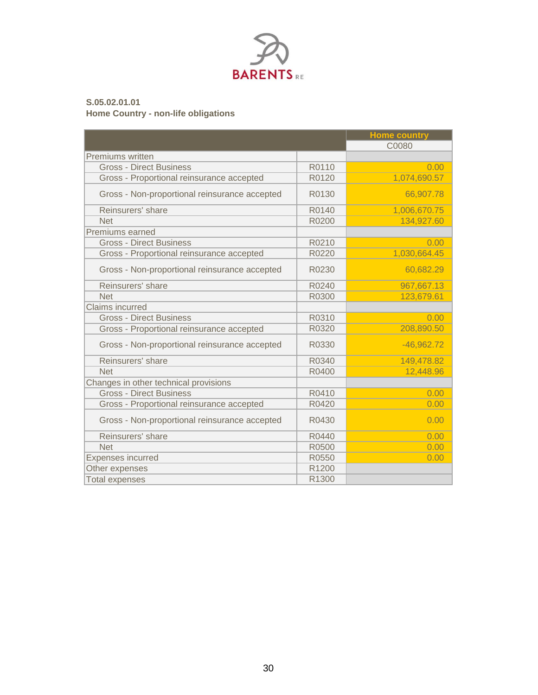

### **S.05.02.01.01 Home Country - non-life obligations**

|                                               |       | <b>Home country</b> |
|-----------------------------------------------|-------|---------------------|
|                                               |       | C0080               |
| <b>Premiums written</b>                       |       |                     |
| <b>Gross - Direct Business</b>                | R0110 | 0.00                |
| Gross - Proportional reinsurance accepted     | R0120 | 1,074,690.57        |
| Gross - Non-proportional reinsurance accepted | R0130 | 66,907.78           |
| Reinsurers' share                             | R0140 | 1,006,670.75        |
| <b>Net</b>                                    | R0200 | 134,927.60          |
| Premiums earned                               |       |                     |
| <b>Gross - Direct Business</b>                | R0210 | 0.00                |
| Gross - Proportional reinsurance accepted     | R0220 | 1,030,664.45        |
| Gross - Non-proportional reinsurance accepted | R0230 | 60,682.29           |
| Reinsurers' share                             | R0240 | 967,667.13          |
| <b>Net</b>                                    | R0300 | 123,679.61          |
| <b>Claims incurred</b>                        |       |                     |
| <b>Gross - Direct Business</b>                | R0310 | 0.00                |
| Gross - Proportional reinsurance accepted     | R0320 | 208,890.50          |
| Gross - Non-proportional reinsurance accepted | R0330 | $-46,962.72$        |
| Reinsurers' share                             | R0340 | 149,478.82          |
| <b>Net</b>                                    | R0400 | 12,448.96           |
| Changes in other technical provisions         |       |                     |
| <b>Gross - Direct Business</b>                | R0410 | 0.00                |
| Gross - Proportional reinsurance accepted     | R0420 | 0.00                |
| Gross - Non-proportional reinsurance accepted | R0430 | 0.00                |
| Reinsurers' share                             | R0440 | 0.00                |
| <b>Net</b>                                    | R0500 | 0.00                |
| <b>Expenses incurred</b>                      | R0550 | 0.00                |
| Other expenses                                | R1200 |                     |
| <b>Total expenses</b>                         | R1300 |                     |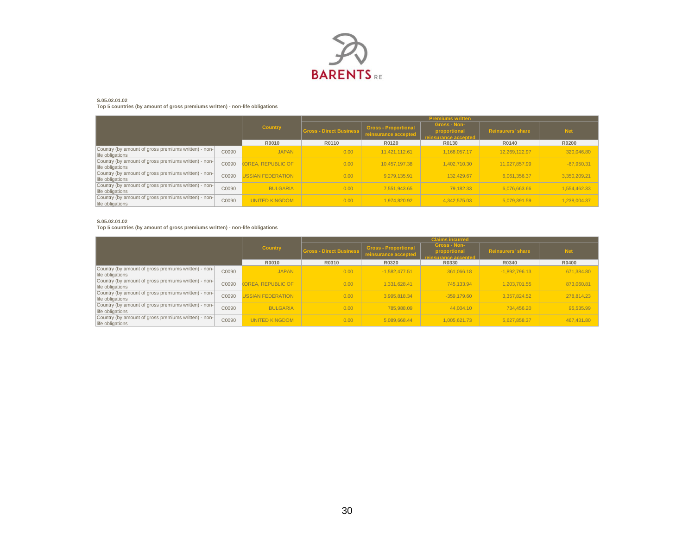

#### **S.05.02.01.02**

**Top 5 countries (by amount of gross premiums written) - non-life obligations**

|                                                                          |       |                           |                                | <b>Premiums written</b>                             |                                                             |                          |              |  |  |  |
|--------------------------------------------------------------------------|-------|---------------------------|--------------------------------|-----------------------------------------------------|-------------------------------------------------------------|--------------------------|--------------|--|--|--|
|                                                                          |       | <b>Country</b>            | <b>Gross - Direct Business</b> | <b>Gross - Proportional</b><br>reinsurance accepted | <b>Gross - Non-</b><br>proportional<br>reinsurance accepted | <b>Reinsurers' share</b> | <b>Net</b>   |  |  |  |
|                                                                          |       | R0010                     | R0110                          | R0120                                               | R0130                                                       | R0140                    | R0200        |  |  |  |
| Country (by amount of gross premiums written) - non-<br>life obligations | C0090 | <b>JAPAN</b>              | 0.00                           | 11.421.112.61                                       | 1.168.057.17                                                | 12.269.122.97            | 320,046.80   |  |  |  |
| Country (by amount of gross premiums written) - non-<br>life obligations | C0090 | <b>KOREA, REPUBLIC OF</b> | 0.00                           | 10.457.197.38                                       | 1.402.710.30                                                | 11.927.857.99            | $-67,950.31$ |  |  |  |
| Country (by amount of gross premiums written) - non-<br>life obligations | C0090 | <b>JSSIAN FEDERATION</b>  | 0.00                           | 9.279.135.91                                        | 132.429.67                                                  | 6.061.356.37             | 3,350,209.21 |  |  |  |
| Country (by amount of gross premiums written) - non-<br>life obligations | C0090 | <b>BULGARIA</b>           | 0.00                           | 7.551.943.65                                        | 79.182.33                                                   | 6.076.663.66             | 1,554,462.33 |  |  |  |
| Country (by amount of gross premiums written) - non-<br>life obligations | C0090 | <b>UNITED KINGDOM</b>     | 0.00                           | 1.974.820.92                                        | 4.342.575.03                                                | 5.079.391.59             | 1,238,004.37 |  |  |  |

#### **S.05.02.01.02**

**Top 5 countries (by amount of gross premiums written) - non-life obligations**

|                                                                          |       |                           |                                | <b>Claims incurred</b>                              |                                                           |                          |            |  |  |  |
|--------------------------------------------------------------------------|-------|---------------------------|--------------------------------|-----------------------------------------------------|-----------------------------------------------------------|--------------------------|------------|--|--|--|
|                                                                          |       | <b>Country</b>            | <b>Gross - Direct Business</b> | <b>Gross - Proportional</b><br>reinsurance accepted | <b>Gross - Non-</b><br>proportional<br>insurance accepted | <b>Reinsurers' share</b> | <b>Net</b> |  |  |  |
|                                                                          |       | R0010                     | R0310                          | R0320                                               | R0330                                                     | R0340                    | R0400      |  |  |  |
| Country (by amount of gross premiums written) - non-<br>life obligations | C0090 | <b>JAPAN</b>              | 0.00                           | $-1.582.477.51$                                     | 361.066.18                                                | $-1.892.796.13$          | 671,384.80 |  |  |  |
| Country (by amount of gross premiums written) - non-<br>life obligations | C0090 | <b>KOREA, REPUBLIC OF</b> | 0.00                           | 1.331.628.41                                        | 745.133.94                                                | 1.203.701.55             | 873,060.81 |  |  |  |
| Country (by amount of gross premiums written) - non-<br>life obligations | C0090 | <b>JSSIAN FEDERATION</b>  | 0.00                           | 3.995.818.34                                        | $-359.179.60$                                             | 3.357.824.52             | 278.814.23 |  |  |  |
| Country (by amount of gross premiums written) - non-<br>life obligations | C0090 | <b>BULGARIA</b>           | 0.00                           | 785.988.09                                          | 44.004.10                                                 | 734.456.20               | 95,535.99  |  |  |  |
| Country (by amount of gross premiums written) - non-<br>life obligations | C0090 | <b>UNITED KINGDOM</b>     | 0.00                           | 5.089.668.44                                        | 1.005.621.73                                              | 5.627.858.37             | 467,431.80 |  |  |  |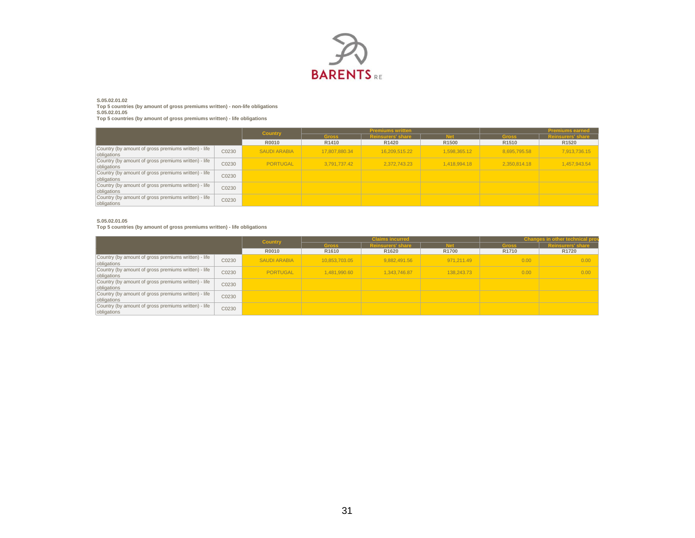

### **S.05.02.01.02**

**Top 5 countries (by amount of gross premiums written) - non-life obligations S.05.02.01.05**

**Top 5 countries (by amount of gross premiums written) - life obligations**

|                                                                     |       |                     |               | <b>Premiums written</b>  | <b>Premiums earned</b> |                   |                          |
|---------------------------------------------------------------------|-------|---------------------|---------------|--------------------------|------------------------|-------------------|--------------------------|
|                                                                     |       | <b>Country</b>      | <b>Gross</b>  | <b>Reinsurers' share</b> | <b>Mat</b>             | <b>Gross</b>      | <b>Reinsurers' share</b> |
|                                                                     |       | R0010               | R1410         | R <sub>1420</sub>        | R <sub>1500</sub>      | R <sub>1510</sub> | R <sub>1520</sub>        |
| Country (by amount of gross premiums written) - life<br>obligations | C0230 | <b>SAUDI ARABIA</b> | 17,807,880,34 | 16.209.515.22            | 1.598.365.12           | 8.695.795.58      | 7,913,736.15             |
| Country (by amount of gross premiums written) - life<br>obligations | C0230 | PORTUGAL            | 3.791.737.42  | 2.372.743.23             | 1.418.994.18           | 2.350.814.18      | 1,457,943.54             |
| Country (by amount of gross premiums written) - life<br>obligations | C0230 |                     |               |                          |                        |                   |                          |
| Country (by amount of gross premiums written) - life<br>obligations | C0230 |                     |               |                          |                        |                   |                          |
| Country (by amount of gross premiums written) - life<br>obligations | C0230 |                     |               |                          |                        |                   |                          |

#### **S.05.02.01.05**

**Top 5 countries (by amount of gross premiums written) - life obligations**

|                                                                     |       | <b>Country</b>      |                   | <b>Claims incurred</b> |                   |                   | <b>Changes in other technical pro</b> |
|---------------------------------------------------------------------|-------|---------------------|-------------------|------------------------|-------------------|-------------------|---------------------------------------|
|                                                                     |       |                     | <b>Gross</b>      | urers' shar            | <b>Mas</b>        | <b>Gross</b>      |                                       |
|                                                                     |       | R0010               | R <sub>1610</sub> | R <sub>1620</sub>      | R <sub>1700</sub> | R <sub>1710</sub> | R <sub>1720</sub>                     |
| Country (by amount of gross premiums written) - life<br>obligations | C0230 | <b>SAUDI ARABIA</b> | 10.853.703.05     | 9.882.491.56           | 971.211.49        | 0.00              | 0.00                                  |
| Country (by amount of gross premiums written) - life<br>obligations | C0230 | PORTUGAL            | 1,481,990.60      | 1,343,746.87           | 138.243.73        | 0.00              | 0.00                                  |
| Country (by amount of gross premiums written) - life<br>obligations | C0230 |                     |                   |                        |                   |                   |                                       |
| Country (by amount of gross premiums written) - life<br>obligations | C0230 |                     |                   |                        |                   |                   |                                       |
| Country (by amount of gross premiums written) - life<br>obligations | C0230 |                     |                   |                        |                   |                   |                                       |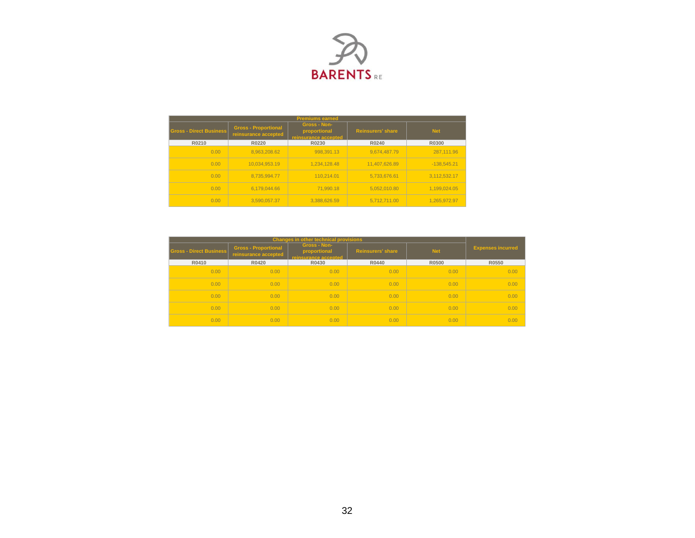

|                                |                                                     | <b>Premiums earned</b>                               |               |               |  |
|--------------------------------|-----------------------------------------------------|------------------------------------------------------|---------------|---------------|--|
| <b>Gross - Direct Business</b> | <b>Gross - Proportional</b><br>reinsurance accepted | Gross - Non-<br>proportional<br>reinsurance accepted |               | <b>Net</b>    |  |
| R0210                          | R0220                                               | R0230                                                | R0240         | R0300         |  |
| 0.00                           | 8.963.208.62                                        | 998.391.13                                           | 9.674.487.79  | 287,111.96    |  |
| 0.00                           | 10.034.953.19                                       | 1.234.128.48                                         | 11.407.626.89 | $-138.545.21$ |  |
| 0.00                           | 8.735.994.77                                        | 110.214.01                                           | 5.733.676.61  | 3.112.532.17  |  |
| 0.00                           | 6.179.044.66                                        | 71.990.18                                            | 5.052.010.80  | 1.199.024.05  |  |
| 0.00                           | 3.590.057.37                                        | 3.388.626.59                                         | 5.712.711.00  | 1.265.972.97  |  |

|                                |                                                     | <b>Changes in other technical provisions</b>                |                          |            |                          |
|--------------------------------|-----------------------------------------------------|-------------------------------------------------------------|--------------------------|------------|--------------------------|
| <b>Gross - Direct Business</b> | <b>Gross - Proportional</b><br>reinsurance accepted | <b>Gross - Non-</b><br>proportional<br>reinsurance accepted | <b>Reinsurers' share</b> | <b>Net</b> | <b>Expenses incurred</b> |
| R0410                          | R0420                                               | R0430                                                       | R0440                    | R0500      | R0550                    |
| 0.00                           | 0.00                                                | 0.00                                                        | 0.00                     | 0.00       | 0.00                     |
| 0.00                           | 0.00                                                | 0.00                                                        | 0.00                     | 0.00       | 0.00                     |
| 0.00                           | 0.00                                                | 0.00                                                        | 0.00                     | 0.00       | 0.00                     |
| 0.00                           | 0.00                                                | 0.00                                                        | 0.00                     | 0.00       | 0.00                     |
| 0.00                           | 0.00                                                | 0.00                                                        | 0.00                     | 0.00       | 0.00                     |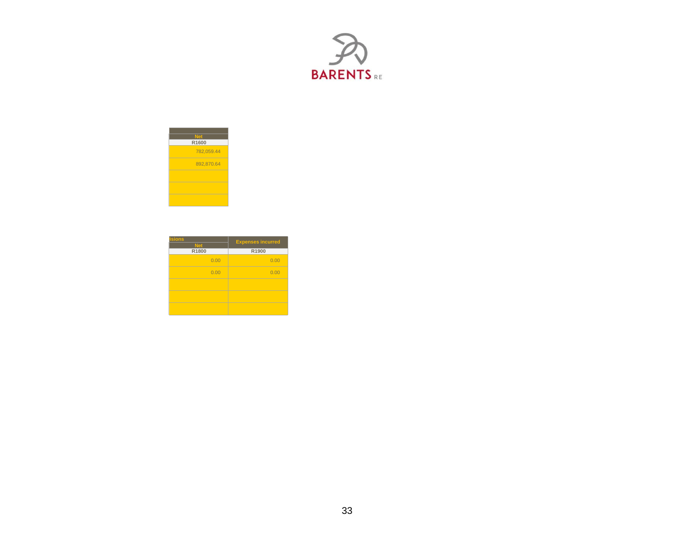



| <b>isions</b><br><b>Net</b> | <b>Expenses incurred</b> |
|-----------------------------|--------------------------|
| R1800                       | R1900                    |
| 0.00                        | 0.00                     |
| 0.00                        | 0.00                     |
|                             |                          |
|                             |                          |
|                             |                          |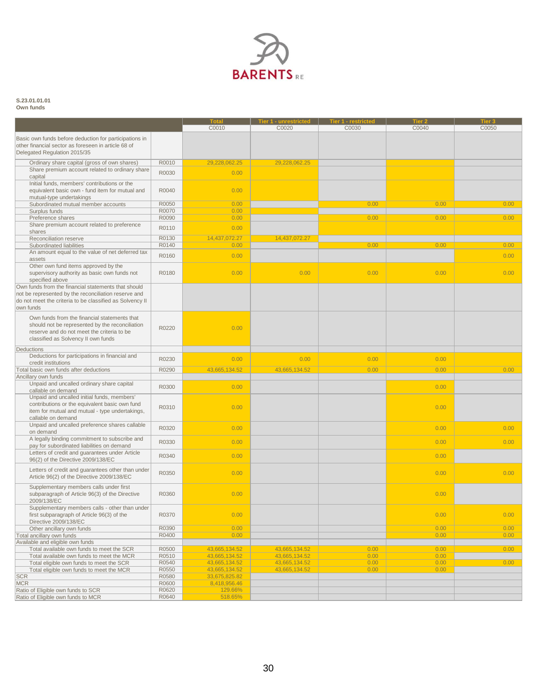

#### **S.23.01.01.01 Own funds**

|                                                                                                               |                | C0010                          | er 1 - unrestricted  <br>C0020 | C0030 | C0040        | C0050 |
|---------------------------------------------------------------------------------------------------------------|----------------|--------------------------------|--------------------------------|-------|--------------|-------|
|                                                                                                               |                |                                |                                |       |              |       |
| Basic own funds before deduction for participations in<br>other financial sector as foreseen in article 68 of |                |                                |                                |       |              |       |
| Delegated Regulation 2015/35                                                                                  |                |                                |                                |       |              |       |
|                                                                                                               |                |                                |                                |       |              |       |
| Ordinary share capital (gross of own shares)<br>Share premium account related to ordinary share               | R0010          | 29,228,062.25                  | 29,228,062.25                  |       |              |       |
| capital                                                                                                       | R0030          | 0.00                           |                                |       |              |       |
| Initial funds, members' contributions or the                                                                  |                |                                |                                |       |              |       |
| equivalent basic own - fund item for mutual and<br>mutual-type undertakings                                   | R0040          | 0.00                           |                                |       |              |       |
| Subordinated mutual member accounts                                                                           | R0050          | 0.00                           |                                | 0.00  | 0.00         | 0.00  |
| Surplus funds                                                                                                 | R0070          | 0.00                           |                                |       |              |       |
| Preference shares                                                                                             | R0090          | 0.00                           |                                | 0.00  | 0.00         | 0.00  |
| Share premium account related to preference                                                                   | R0110          | 0.00                           |                                |       |              |       |
| shares<br>Reconciliation reserve                                                                              | R0130          | 14,437,072.27                  |                                |       |              |       |
| Subordinated liabilities                                                                                      | R0140          | 0.00                           | 14,437,072.27                  | 0.00  | 0.00         | 0.00  |
| An amount equal to the value of net deferred tax                                                              |                |                                |                                |       |              |       |
| assets                                                                                                        | R0160          | 0.00                           |                                |       |              | 0.00  |
| Other own fund items approved by the<br>supervisory authority as basic own funds not<br>specified above       | R0180          | 0.00                           | 0.00                           | 0.00  | 0.00         | 0.00  |
| Own funds from the financial statements that should                                                           |                |                                |                                |       |              |       |
| not be represented by the reconciliation reserve and                                                          |                |                                |                                |       |              |       |
| do not meet the criteria to be classified as Solvency II                                                      |                |                                |                                |       |              |       |
| own funds                                                                                                     |                |                                |                                |       |              |       |
| Own funds from the financial statements that                                                                  |                |                                |                                |       |              |       |
| should not be represented by the reconciliation                                                               |                |                                |                                |       |              |       |
| reserve and do not meet the criteria to be                                                                    | R0220          | 0.00                           |                                |       |              |       |
| classified as Solvency II own funds                                                                           |                |                                |                                |       |              |       |
| Deductions                                                                                                    |                |                                |                                |       |              |       |
| Deductions for participations in financial and                                                                |                |                                |                                |       |              |       |
| credit institutions                                                                                           | R0230          | 0.00                           | 0.00                           | 0.00  | 0.00         |       |
| Total basic own funds after deductions                                                                        | R0290          | 43,665,134.52                  | 43,665,134.52                  | 0.00  | 0.00         | 0.00  |
| Ancillary own funds                                                                                           |                |                                |                                |       |              |       |
| Unpaid and uncalled ordinary share capital                                                                    | R0300          | 0.00                           |                                |       | 0.00         |       |
| callable on demand                                                                                            |                |                                |                                |       |              |       |
| Unpaid and uncalled initial funds, members'<br>contributions or the equivalent basic own fund                 |                |                                |                                |       |              |       |
| item for mutual and mutual - type undertakings,                                                               | R0310          | 0.00                           |                                |       | 0.00         |       |
| callable on demand                                                                                            |                |                                |                                |       |              |       |
| Unpaid and uncalled preference shares callable                                                                |                |                                |                                |       |              |       |
| on demand                                                                                                     | R0320          | 0.00                           |                                |       | 0.00         | 0.00  |
| A legally binding commitment to subscribe and                                                                 | R0330          | 0.00                           |                                |       | 0.00         | 0.00  |
| pay for subordinated liabilities on demand                                                                    |                |                                |                                |       |              |       |
| Letters of credit and guarantees under Article                                                                | R0340          | 0.00                           |                                |       | 0.00         |       |
| 96(2) of the Directive 2009/138/EC                                                                            |                |                                |                                |       |              |       |
| Letters of credit and guarantees other than under<br>Article 96(2) of the Directive 2009/138/EC               | R0350          | 0.00                           |                                |       | 0.00         | 0.00  |
|                                                                                                               |                |                                |                                |       |              |       |
| Supplementary members calls under first                                                                       |                |                                |                                |       |              |       |
| subparagraph of Article 96(3) of the Directive<br>2009/138/EC                                                 | R0360          | 0.00                           |                                |       | 0.00         |       |
| Supplementary members calls - other than under                                                                |                |                                |                                |       |              |       |
| first subparagraph of Article 96(3) of the                                                                    | R0370          | 0.00                           |                                |       | 0.00         | 0.00  |
| Directive 2009/138/EC                                                                                         |                |                                |                                |       |              |       |
| Other ancillary own funds                                                                                     | R0390          | 0.00                           |                                |       | 0.00         | 0.00  |
| Total ancillary own funds                                                                                     | R0400          | 0.00                           |                                |       | 0.00         | 0.00  |
| Available and eligible own funds                                                                              |                |                                |                                |       |              |       |
| Total available own funds to meet the SCR                                                                     | R0500          | 43,665,134.52                  | 43,665,134.52                  | 0.00  | 0.00         | 0.00  |
| Total available own funds to meet the MCR                                                                     | R0510          | 43,665,134.52                  | 43,665,134.52                  | 0.00  | 0.00         |       |
| Total eligible own funds to meet the SCR                                                                      | R0540<br>R0550 | 43,665,134.52<br>43,665,134.52 | 43,665,134.52<br>43,665,134.52 | 0.00  | 0.00<br>0.00 | 0.00  |
| Total eligible own funds to meet the MCR<br><b>SCR</b>                                                        | R0580          | 33,675,825.82                  |                                | 0.00  |              |       |
| <b>MCR</b>                                                                                                    | R0600          | 8,418,956.46                   |                                |       |              |       |
| Ratio of Eligible own funds to SCR                                                                            | R0620          | 129.66%                        |                                |       |              |       |
| Ratio of Eligible own funds to MCR                                                                            | R0640          | 518.65%                        |                                |       |              |       |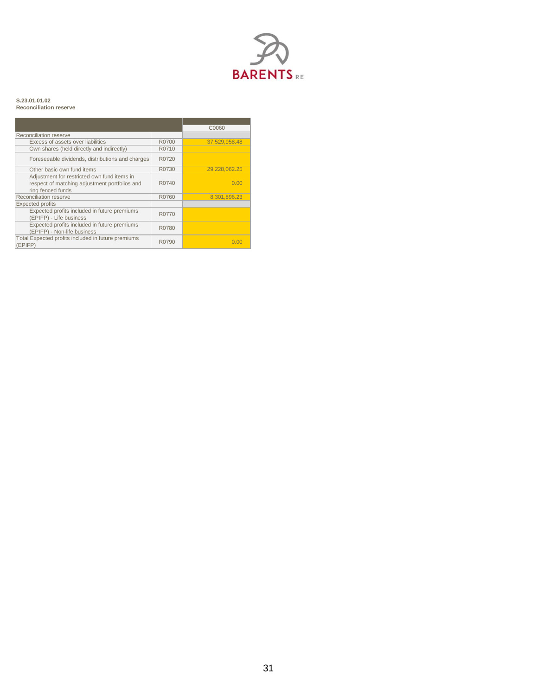

#### **S.23.01.01.02 Reconciliation reserve**

|                                                                                                                   |                    | C0060         |
|-------------------------------------------------------------------------------------------------------------------|--------------------|---------------|
| Reconciliation reserve                                                                                            |                    |               |
| Excess of assets over liabilities                                                                                 | R0700              | 37.529.958.48 |
| Own shares (held directly and indirectly)                                                                         | R0710              |               |
| Foreseeable dividends, distributions and charges                                                                  | R0720              |               |
| Other basic own fund items                                                                                        | R0730              | 29.228.062.25 |
| Adjustment for restricted own fund items in<br>respect of matching adjustment portfolios and<br>ring fenced funds | R <sub>0</sub> 740 | 0.00          |
| Reconciliation reserve                                                                                            | R0760              | 8.301.896.23  |
| <b>Expected profits</b>                                                                                           |                    |               |
| Expected profits included in future premiums<br>(EPIFP) - Life business                                           | R0770              |               |
| Expected profits included in future premiums<br>(EPIFP) - Non-life business                                       | R0780              |               |
| Total Expected profits included in future premiums<br>(EPIFP)                                                     | R0790              | n nn          |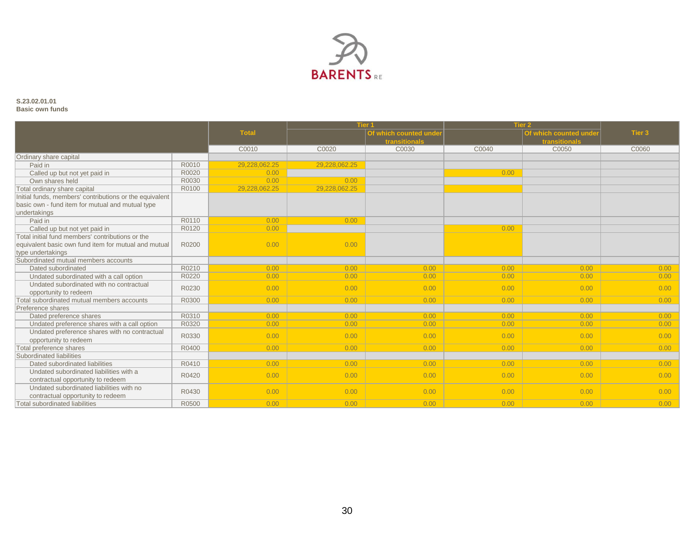

#### **S.23.02.01.01 Basic own funds**

|                                                         |       |               | <b>Tier 1</b> |                       | Tier 2 |                        |        |
|---------------------------------------------------------|-------|---------------|---------------|-----------------------|--------|------------------------|--------|
|                                                         |       | <b>Total</b>  |               | Of which counted unde |        | Of which counted under | Tier 3 |
|                                                         |       |               |               | transitionals         |        | transitionals          |        |
|                                                         |       | C0010         | C0020         | C0030                 | C0040  | C0050                  | C0060  |
| Ordinary share capital                                  |       |               |               |                       |        |                        |        |
| Paid in                                                 | R0010 | 29.228.062.25 | 29,228,062.25 |                       |        |                        |        |
| Called up but not yet paid in                           | R0020 | 0.00          |               |                       | 0.00   |                        |        |
| Own shares held                                         | R0030 | 0.00          | 0.00          |                       |        |                        |        |
| Total ordinary share capital                            | R0100 | 29,228,062.25 | 29,228,062.25 |                       |        |                        |        |
| Initial funds, members' contributions or the equivalent |       |               |               |                       |        |                        |        |
| basic own - fund item for mutual and mutual type        |       |               |               |                       |        |                        |        |
| undertakings                                            |       |               |               |                       |        |                        |        |
| Paid in                                                 | R0110 | 0.00          | 0.00          |                       |        |                        |        |
| Called up but not yet paid in                           | R0120 | 0.00          |               |                       | 0.00   |                        |        |
| Total initial fund members' contributions or the        |       |               |               |                       |        |                        |        |
| equivalent basic own fund item for mutual and mutual    | R0200 | 0.00          | 0.00          |                       |        |                        |        |
| type undertakings                                       |       |               |               |                       |        |                        |        |
| Subordinated mutual members accounts                    |       |               |               |                       |        |                        |        |
| Dated subordinated                                      | R0210 | 0.00          | 0.00          | 0.00                  | 0.00   | 0.00                   | 0.00   |
| Undated subordinated with a call option                 | R0220 | 0.00          | 0.00          | 0.00                  | 0.00   | 0.00                   | 0.00   |
| Undated subordinated with no contractual                | R0230 | 0.00          | 0.00          | 0.00                  | 0.00   | 0.00                   | 0.00   |
| opportunity to redeem                                   |       |               |               |                       |        |                        |        |
| Total subordinated mutual members accounts              | R0300 | 0.00          | 0.00          | 0.00                  | 0.00   | 0.00                   | 0.00   |
| Preference shares                                       |       |               |               |                       |        |                        |        |
| Dated preference shares                                 | R0310 | 0.00          | 0.00          | 0.00                  | 0.00   | 0.00                   | 0.00   |
| Undated preference shares with a call option            | R0320 | 0.00          | 0.00          | 0.00                  | 0.00   | 0.00                   | 0.00   |
| Undated preference shares with no contractual           | R0330 | 0.00          | 0.00          | 0.00                  | 0.00   | 0.00                   | 0.00   |
| opportunity to redeem                                   |       |               |               |                       |        |                        |        |
| Total preference shares                                 | R0400 | 0.00          | 0.00          | 0.00                  | 0.00   | 0.00                   | 0.00   |
| Subordinated liabilities                                |       |               |               |                       |        |                        |        |
| Dated subordinated liabilities                          | R0410 | 0.00          | 0.00          | 0.00                  | 0.00   | 0.00                   | 0.00   |
| Undated subordinated liabilities with a                 | R0420 | 0.00          | 0.00          | 0.00                  | 0.00   | 0.00                   | 0.00   |
| contractual opportunity to redeem                       |       |               |               |                       |        |                        |        |
| Undated subordinated liabilities with no                | R0430 | 0.00          | 0.00          | 0.00                  | 0.00   | 0.00                   | 0.00   |
| contractual opportunity to redeem                       |       |               |               |                       |        |                        |        |
| <b>Total subordinated liabilities</b>                   | R0500 | 0.00          | 0.00          | 0.00                  | 0.00   | 0.00                   | 0.00   |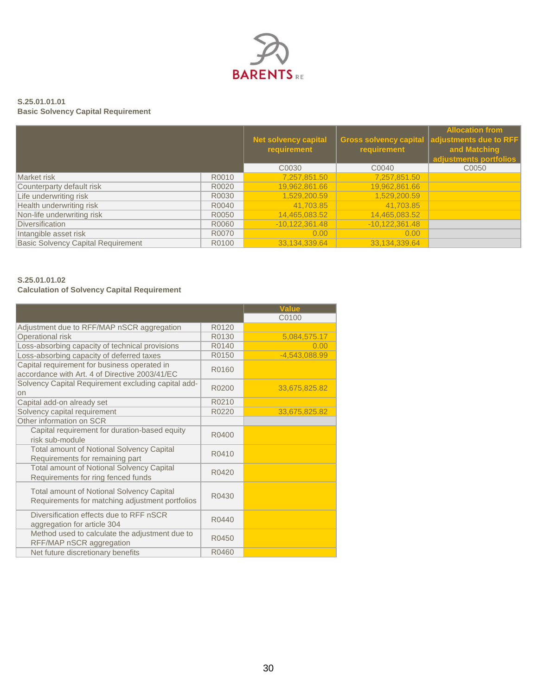

### **S.25.01.01.01 Basic Solvency Capital Requirement**

|                                           |       | <b>Net solvency capital</b> |                  | <b>Allocation from</b><br>Gross solvency capital adjustments due to RFF |
|-------------------------------------------|-------|-----------------------------|------------------|-------------------------------------------------------------------------|
|                                           |       | requirement                 | requirement      | and Matching<br>adjustments portfolios                                  |
|                                           |       | C <sub>00</sub> 30          | C0040            | C0050                                                                   |
| Market risk                               | R0010 | 7,257,851.50                | 7,257,851.50     |                                                                         |
| Counterparty default risk                 | R0020 | 19,962,861.66               | 19,962,861.66    |                                                                         |
| Life underwriting risk                    | R0030 | 1,529,200.59                | 1,529,200.59     |                                                                         |
| Health underwriting risk                  | R0040 | 41,703.85                   | 41,703.85        |                                                                         |
| Non-life underwriting risk                | R0050 | 14,465,083.52               | 14,465,083.52    |                                                                         |
| Diversification                           | R0060 | $-10,122,361.48$            | $-10,122,361.48$ |                                                                         |
| Intangible asset risk                     | R0070 | 0.00                        | 0.00             |                                                                         |
| <b>Basic Solvency Capital Requirement</b> | R0100 | 33,134,339.64               | 33,134,339.64    |                                                                         |

# **S.25.01.01.02**

### **Calculation of Solvency Capital Requirement**

|                                                                                                     |       | <b>Value</b>    |
|-----------------------------------------------------------------------------------------------------|-------|-----------------|
|                                                                                                     |       | C0100           |
| Adjustment due to RFF/MAP nSCR aggregation                                                          | R0120 |                 |
| Operational risk                                                                                    | R0130 | 5,084,575.17    |
| Loss-absorbing capacity of technical provisions                                                     | R0140 | 0.00            |
| Loss-absorbing capacity of deferred taxes                                                           | R0150 | $-4,543,088.99$ |
| Capital requirement for business operated in<br>accordance with Art. 4 of Directive 2003/41/EC      | R0160 |                 |
| Solvency Capital Requirement excluding capital add-<br>on                                           | R0200 | 33,675,825.82   |
| Capital add-on already set                                                                          | R0210 |                 |
| Solvency capital requirement                                                                        | R0220 | 33,675,825.82   |
| Other information on SCR                                                                            |       |                 |
| Capital requirement for duration-based equity<br>risk sub-module                                    | R0400 |                 |
| <b>Total amount of Notional Solvency Capital</b><br>Requirements for remaining part                 | R0410 |                 |
| <b>Total amount of Notional Solvency Capital</b><br>Requirements for ring fenced funds              | R0420 |                 |
| <b>Total amount of Notional Solvency Capital</b><br>Requirements for matching adjustment portfolios | R0430 |                 |
| Diversification effects due to RFF nSCR<br>aggregation for article 304                              | R0440 |                 |
| Method used to calculate the adjustment due to<br>RFF/MAP nSCR aggregation                          | R0450 |                 |
| Net future discretionary benefits                                                                   | R0460 |                 |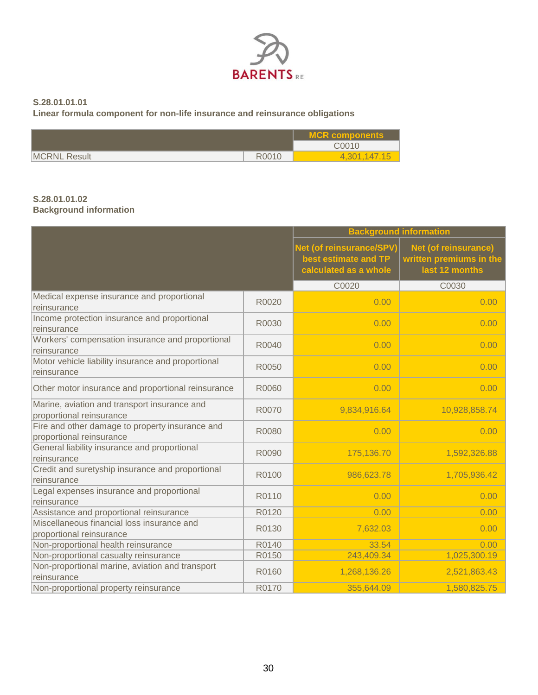

### **S.28.01.01.01**

**Linear formula component for non-life insurance and reinsurance obligations**

|                     |       | <b>MCR components</b> |
|---------------------|-------|-----------------------|
|                     |       | C0010                 |
| <b>MCRNL Result</b> | R0010 | 4,301,147.15          |

### **S.28.01.01.02 Background information**

|                                                                             | <b>Background information</b> |                                                                           |                                                                   |  |
|-----------------------------------------------------------------------------|-------------------------------|---------------------------------------------------------------------------|-------------------------------------------------------------------|--|
|                                                                             |                               | Net (of reinsurance/SPV)<br>best estimate and TP<br>calculated as a whole | Net (of reinsurance)<br>written premiums in the<br>last 12 months |  |
|                                                                             |                               | C0020                                                                     | C0030                                                             |  |
| Medical expense insurance and proportional<br>reinsurance                   | R0020                         | 0.00                                                                      | 0.00                                                              |  |
| Income protection insurance and proportional<br>reinsurance                 | R0030                         | 0.00                                                                      | 0.00                                                              |  |
| Workers' compensation insurance and proportional<br>reinsurance             | R0040                         | 0.00                                                                      | 0.00                                                              |  |
| Motor vehicle liability insurance and proportional<br>reinsurance           | R0050                         | 0.00                                                                      | 0.00                                                              |  |
| Other motor insurance and proportional reinsurance                          | R0060                         | 0.00                                                                      | 0.00                                                              |  |
| Marine, aviation and transport insurance and<br>proportional reinsurance    | R0070                         | 9,834,916.64                                                              | 10,928,858.74                                                     |  |
| Fire and other damage to property insurance and<br>proportional reinsurance | R0080                         | 0.00                                                                      | 0.00                                                              |  |
| General liability insurance and proportional<br>reinsurance                 | R0090                         | 175,136.70                                                                | 1,592,326.88                                                      |  |
| Credit and suretyship insurance and proportional<br>reinsurance             | R0100                         | 986,623.78                                                                | 1,705,936.42                                                      |  |
| Legal expenses insurance and proportional<br>reinsurance                    | R0110                         | 0.00                                                                      | 0.00                                                              |  |
| Assistance and proportional reinsurance                                     | R0120                         | 0.00                                                                      | 0.00                                                              |  |
| Miscellaneous financial loss insurance and<br>proportional reinsurance      | R0130                         | 7,632.03                                                                  | 0.00                                                              |  |
| Non-proportional health reinsurance                                         | R0140                         | 33.54                                                                     | 0.00                                                              |  |
| Non-proportional casualty reinsurance                                       | R0150                         | 243,409.34                                                                | 1,025,300.19                                                      |  |
| Non-proportional marine, aviation and transport<br>reinsurance              | R0160                         | 1,268,136.26                                                              | 2,521,863.43                                                      |  |
| Non-proportional property reinsurance                                       | R0170                         | 355,644.09                                                                | 1,580,825.75                                                      |  |